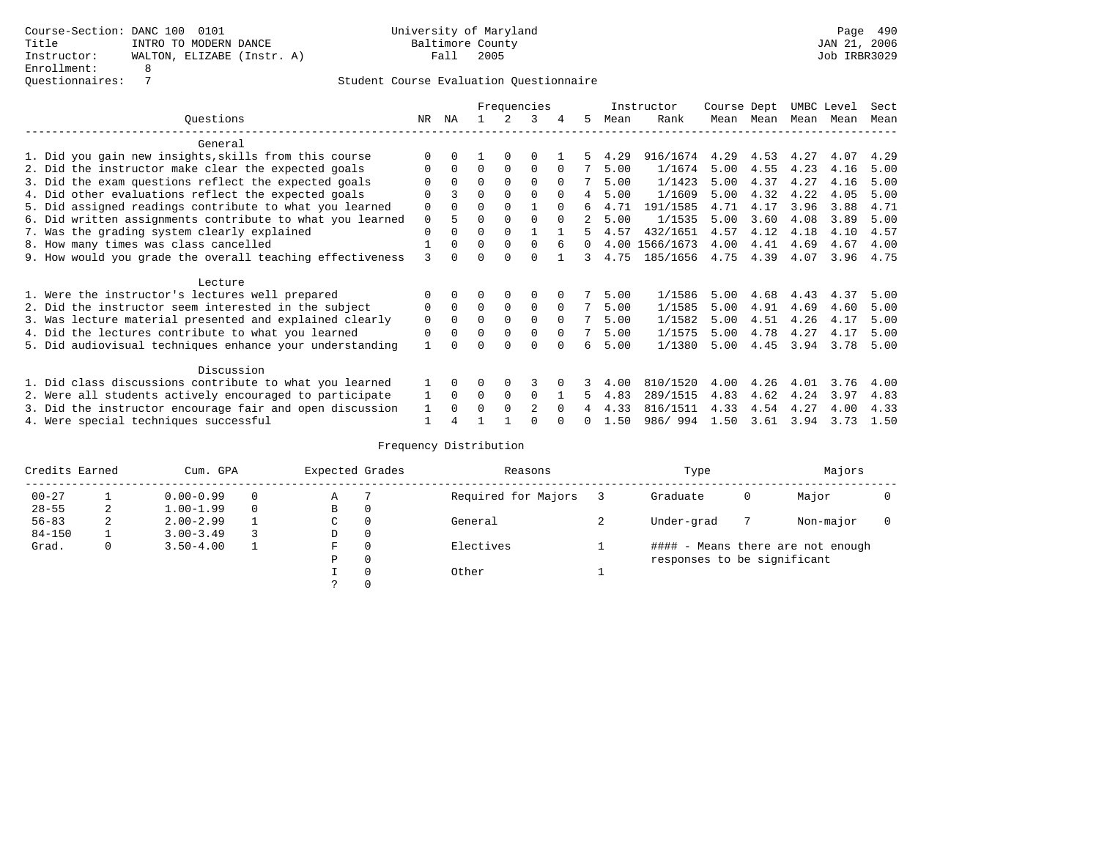|                                                           |             |              |          |             | Frequencies    |          |          |      | Instructor     | Course Dept |           | UMBC Level |      | Sect |
|-----------------------------------------------------------|-------------|--------------|----------|-------------|----------------|----------|----------|------|----------------|-------------|-----------|------------|------|------|
| Ouestions                                                 | NR.         | ΝA           |          |             | 3              |          | 5.       | Mean | Rank           |             | Mean Mean | Mean       | Mean | Mean |
| General                                                   |             |              |          |             |                |          |          |      |                |             |           |            |      |      |
| 1. Did you gain new insights, skills from this course     |             | 0            |          | $\Omega$    | 0              |          |          | 4.29 | 916/1674       | 4.29        | 4.53      | 4.27       | 4.07 | 4.29 |
| 2. Did the instructor make clear the expected goals       | O           | $\Omega$     | $\Omega$ | $\Omega$    | $\Omega$       | $\Omega$ |          | 5.00 | 1/1674         | 5.00        | 4.55      | 4.23       | 4.16 | 5.00 |
| 3. Did the exam questions reflect the expected goals      |             | $\Omega$     | $\Omega$ | $\Omega$    | $\Omega$       | $\Omega$ |          | 5.00 | 1/1423         | 5.00        | 4.37      | 4.27       | 4.16 | 5.00 |
| 4. Did other evaluations reflect the expected goals       | O           |              | $\Omega$ | $\Omega$    | $\Omega$       | $\Omega$ | 4        | 5.00 | 1/1609         | 5.00        | 4.32      | 4.22       | 4.05 | 5.00 |
| 5. Did assigned readings contribute to what you learned   | $\mathbf 0$ | $\Omega$     | $\Omega$ | $\Omega$    |                | $\Omega$ | б.       | 4.71 | 191/1585       | 4.71        | 4.17      | 3.96       | 3.88 | 4.71 |
| 6. Did written assignments contribute to what you learned | $\mathbf 0$ |              | 0        | $\Omega$    | $\Omega$       | $\Omega$ | 2        | 5.00 | 1/1535         | 5.00        | 3.60      | 4.08       | 3.89 | 5.00 |
| 7. Was the grading system clearly explained               | $\Omega$    | $\Omega$     | 0        | $\Omega$    |                |          | 5.       | 4.57 | 432/1651       | 4.57        | 4.12      | 4.18       | 4.10 | 4.57 |
| 8. How many times was class cancelled                     |             | $\Omega$     | $\Omega$ | $\Omega$    | $\Omega$       | 6        | $\Omega$ |      | 4.00 1566/1673 | 4.00        | 4.41      | 4.69       | 4.67 | 4.00 |
| 9. How would you grade the overall teaching effectiveness | 3           | <sup>n</sup> | ∩        | ∩           | $\Omega$       |          | 3        | 4.75 | 185/1656       | 4.75        | 4.39      | 4.07       | 3.96 | 4.75 |
| Lecture                                                   |             |              |          |             |                |          |          |      |                |             |           |            |      |      |
| 1. Were the instructor's lectures well prepared           |             |              |          | $\Omega$    | $\Omega$       |          |          | 5.00 | 1/1586         | 5.00        | 4.68      | 4.43       | 4.37 | 5.00 |
| 2. Did the instructor seem interested in the subject      | 0           | $\Omega$     | $\Omega$ | $\Omega$    | $\Omega$       | $\Omega$ |          | 5.00 | 1/1585         | 5.00        | 4.91      | 4.69       | 4.60 | 5.00 |
| 3. Was lecture material presented and explained clearly   | 0           | $\Omega$     | $\Omega$ | $\Omega$    | $\Omega$       | $\Omega$ |          | 5.00 | 1/1582         | 5.00        | 4.51      | 4.26       | 4.17 | 5.00 |
| 4. Did the lectures contribute to what you learned        | 0           | $\Omega$     | $\Omega$ | $\Omega$    | $\mathbf 0$    | $\Omega$ |          | 5.00 | 1/1575         | 5.00        | 4.78      | 4.27       | 4.17 | 5.00 |
| 5. Did audiovisual techniques enhance your understanding  |             |              |          |             | $\cap$         | $\cap$   | 6        | 5.00 | 1/1380         | 5.00        | 4.45      | 3.94       | 3.78 | 5.00 |
| Discussion                                                |             |              |          |             |                |          |          |      |                |             |           |            |      |      |
| 1. Did class discussions contribute to what you learned   |             | $\Omega$     | 0        | $\Omega$    | 3              |          |          | 4.00 | 810/1520       | 4.00        | 4.26      | 4.01       | 3.76 | 4.00 |
| 2. Were all students actively encouraged to participate   |             | $\Omega$     | $\Omega$ | $\mathbf 0$ | $\Omega$       |          | 5.       | 4.83 | 289/1515       | 4.83        | 4.62      | 4.24       | 3.97 | 4.83 |
| 3. Did the instructor encourage fair and open discussion  | 1           | $\Omega$     | 0        | $\Omega$    | $\mathfrak{D}$ | $\Omega$ |          | 4.33 | 816/1511       | 4.33        | 4.54      | 4.27       | 4.00 | 4.33 |
| 4. Were special techniques successful                     | 1           |              |          |             |                |          |          | 1.50 | 986/994        | 1.50        | 3.61      | 3.94       | 3.73 | 1.50 |

| Credits Earned |   | Cum. GPA      | Expected Grades |          | Reasons             | Type                        |   | Majors                            |  |
|----------------|---|---------------|-----------------|----------|---------------------|-----------------------------|---|-----------------------------------|--|
| $00 - 27$      |   | $0.00 - 0.99$ | Α               |          | Required for Majors | Graduate                    | 0 | Major                             |  |
| $28 - 55$      | 2 | $1.00 - 1.99$ | B               | 0        |                     |                             |   |                                   |  |
| $56 - 83$      | 2 | $2.00 - 2.99$ | C               | 0        | General             | Under-grad                  |   | Non-major                         |  |
| $84 - 150$     |   | $3.00 - 3.49$ | D               | 0        |                     |                             |   |                                   |  |
| Grad.          | 0 | $3.50 - 4.00$ | F               | 0        | Electives           |                             |   | #### - Means there are not enough |  |
|                |   |               | Ρ               | 0        |                     | responses to be significant |   |                                   |  |
|                |   |               |                 | $\Omega$ | Other               |                             |   |                                   |  |
|                |   |               |                 |          |                     |                             |   |                                   |  |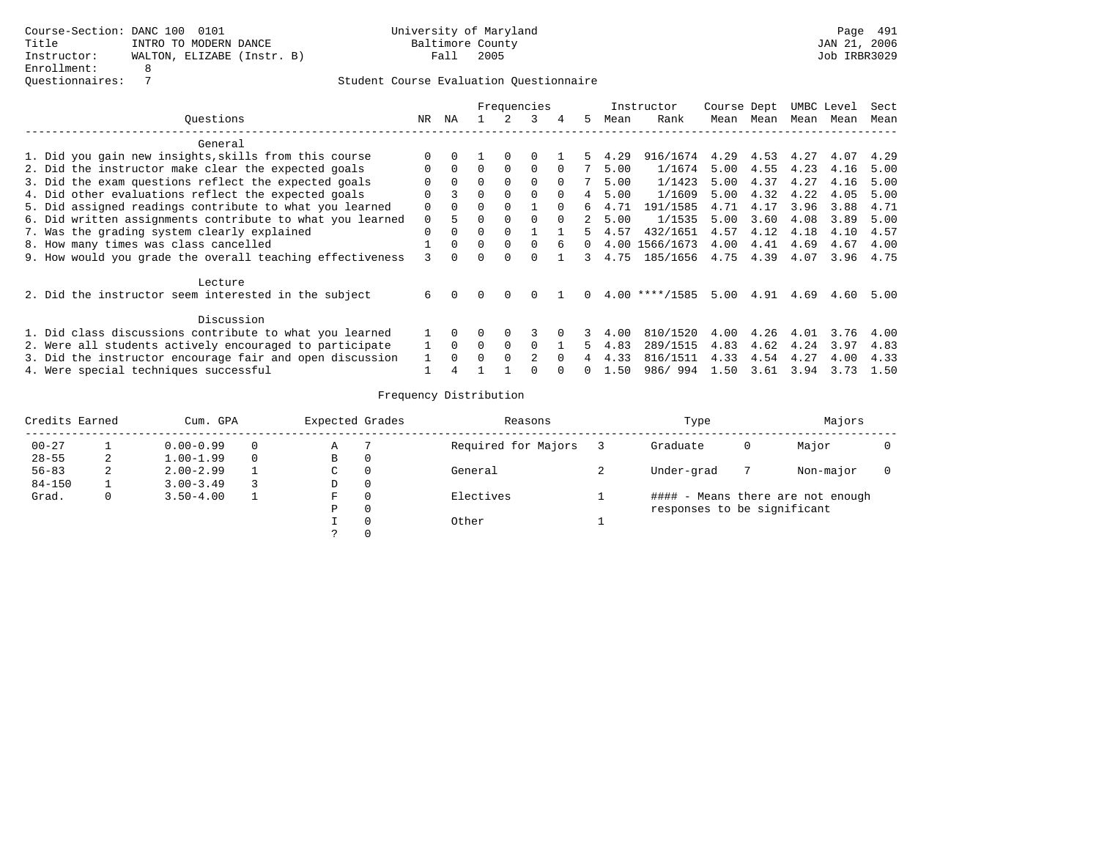|                                                           |          |          |          |          | Frequencies  |          |    |      | Instructor     | Course Dept |           |      | UMBC Level | Sect |
|-----------------------------------------------------------|----------|----------|----------|----------|--------------|----------|----|------|----------------|-------------|-----------|------|------------|------|
| Ouestions                                                 | NR.      | ΝA       |          |          | 3            | 4        | 5. | Mean | Rank           |             | Mean Mean | Mean | Mean       | Mean |
| General                                                   |          |          |          |          |              |          |    |      |                |             |           |      |            |      |
| 1. Did you gain new insights, skills from this course     | $\Omega$ |          |          | $\Omega$ |              |          | 5. | 4.29 | 916/1674       | 4.29        | 4.53      | 4.27 | 4.07       | 4.29 |
| 2. Did the instructor make clear the expected goals       | $\Omega$ | $\Omega$ | $\Omega$ | $\Omega$ | $\Omega$     |          |    | 5.00 | 1/1674         | 5.00        | 4.55      | 4.23 | 4.16       | 5.00 |
| 3. Did the exam questions reflect the expected goals      |          |          | $\Omega$ | $\Omega$ | $\Omega$     | $\Omega$ |    | 5.00 | 1/1423         | 5.00        | 4.37      | 4.27 | 4.16       | 5.00 |
| 4. Did other evaluations reflect the expected goals       | $\Omega$ |          | $\Omega$ |          | $\Omega$     |          | 4  | 5.00 | 1/1609         | 5.00        | 4.32      | 4.22 | 4.05       | 5.00 |
| 5. Did assigned readings contribute to what you learned   | $\Omega$ |          | 0        |          |              |          |    | 4.71 | 191/1585       | 4.71        | 4.17      | 3.96 | 3.88       | 4.71 |
| 6. Did written assignments contribute to what you learned | $\Omega$ | 5        | 0        | $\Omega$ | $\Omega$     | $\cap$   |    | 5.00 | 1/1535         | 5.00        | 3.60      | 4.08 | 3.89       | 5.00 |
| 7. Was the grading system clearly explained               | $\Omega$ | $\Omega$ | $\Omega$ |          |              |          | Б. | 4.57 | 432/1651       | 4.57        | 4.12      | 4.18 | 4.10       | 4.57 |
| 8. How many times was class cancelled                     |          | $\Omega$ | $\Omega$ | $\Omega$ | $\Omega$     | б.       |    | 4.00 | 1566/1673      | 4.00        | 4.41      | 4.69 | 4.67       | 4.00 |
| 9. How would you grade the overall teaching effectiveness | 3        | $\Omega$ | 0        | $\Omega$ | <sup>n</sup> |          |    | 4.75 | 185/1656       | 4.75        | 4.39      | 4.07 | 3.96       | 4.75 |
| Lecture                                                   |          |          |          |          |              |          |    |      |                |             |           |      |            |      |
| 2. Did the instructor seem interested in the subject      | 6        |          | $\Omega$ | $\Omega$ |              |          | 0. |      | 4.00 ****/1585 | 5.00        | 4.91      | 4.69 | 4.60       | 5.00 |
| Discussion                                                |          |          |          |          |              |          |    |      |                |             |           |      |            |      |
| 1. Did class discussions contribute to what you learned   |          |          |          |          |              |          |    | 4.00 | 810/1520       | 4.00        | 4.26      | 4.01 | 3.76       | 4.00 |
| 2. Were all students actively encouraged to participate   |          | $\Omega$ | $\Omega$ | $\Omega$ | $\Omega$     |          | 5. | 4.83 | 289/1515       | 4.83        | 4.62      | 4.24 | 3.97       | 4.83 |
| 3. Did the instructor encourage fair and open discussion  |          | $\Omega$ | $\cap$   |          |              |          |    | 4.33 | 816/1511       | 4.33        | 4.54      | 4.27 | 4.00       | 4.33 |
| 4. Were special techniques successful                     |          |          |          |          |              |          |    | 1.50 | 986/994        | 1.50        | 3.61      | 3.94 | 3.73       | 1.50 |

| Credits Earned |   | Cum. GPA      | Expected Grades |          | Reasons             | Type                        |   | Majors                            |  |
|----------------|---|---------------|-----------------|----------|---------------------|-----------------------------|---|-----------------------------------|--|
| $00 - 27$      |   | $0.00 - 0.99$ | Α               |          | Required for Majors | Graduate                    | 0 | Major                             |  |
| $28 - 55$      | ∠ | $1.00 - 1.99$ | В               | 0        |                     |                             |   |                                   |  |
| $56 - 83$      | 2 | $2.00 - 2.99$ | C               | 0        | General             | Under-grad                  |   | Non-major                         |  |
| $84 - 150$     |   | $3.00 - 3.49$ | D               | 0        |                     |                             |   |                                   |  |
| Grad.          | 0 | $3.50 - 4.00$ | F               |          | Electives           |                             |   | #### - Means there are not enough |  |
|                |   |               | Ρ               | $\Omega$ |                     | responses to be significant |   |                                   |  |
|                |   |               |                 | $\Omega$ | Other               |                             |   |                                   |  |
|                |   |               | $\mathcal{P}$   | $\Omega$ |                     |                             |   |                                   |  |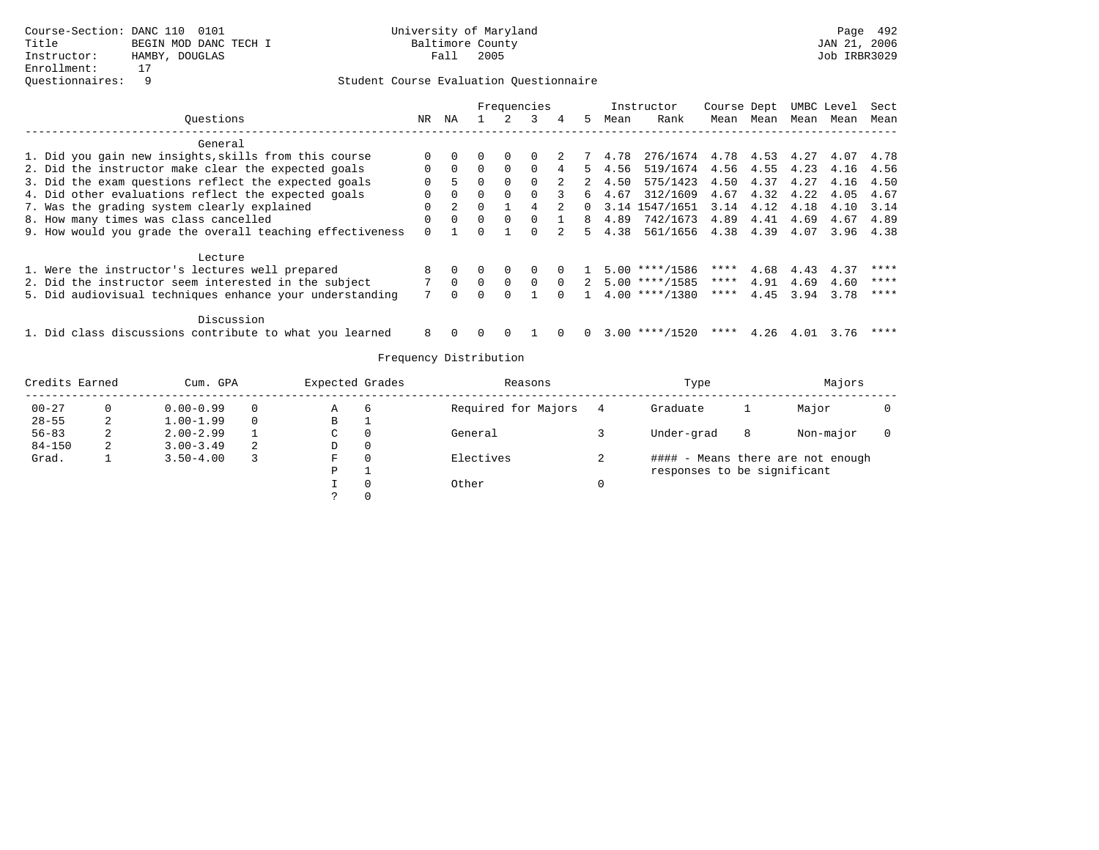|                                                           |          |          |          |          | Frequencies |          |          |                | Instructor         | Course Dept |      |      | UMBC Level | Sect      |
|-----------------------------------------------------------|----------|----------|----------|----------|-------------|----------|----------|----------------|--------------------|-------------|------|------|------------|-----------|
| Ouestions                                                 | NR.      | ΝA       |          |          |             | 4        | 5.       | Mean           | Rank               | Mean        | Mean | Mean | Mean       | Mean      |
| General                                                   |          |          |          |          |             |          |          |                |                    |             |      |      |            |           |
| 1. Did you gain new insights, skills from this course     |          |          |          | $\Omega$ | $\Box$      |          | 7        | 4.78           | 276/1674 4.78 4.53 |             |      | 4.27 | 4.07       | 4.78      |
| 2. Did the instructor make clear the expected goals       | 0        | $\Omega$ | $\Omega$ | $\Omega$ | $\Box$      |          | 5.       | 4.56           | 519/1674 4.56 4.55 |             |      | 4.23 | 4.16       | 4.56      |
| 3. Did the exam questions reflect the expected goals      | 0        |          | $\Omega$ | $\Omega$ | $\Omega$    |          | 2        | 4.50           | 575/1423           | 4.50        | 4.37 | 4.27 | 4.16       | 4.50      |
| 4. Did other evaluations reflect the expected goals       | U        | $\Omega$ | $\Omega$ | $\Omega$ | $\Omega$    |          | რ —      | 4.67           | 312/1609           | 4.67        | 4.32 | 4.22 | 4.05       | 4.67      |
| 7. Was the grading system clearly explained               | 0        |          |          |          |             |          | $\Omega$ |                | 3.14 1547/1651     | 3.14        | 4.12 | 4.18 | 4.10       | 3.14      |
| 8. How many times was class cancelled                     | 0        | $\Omega$ | $\Omega$ | $\Omega$ |             |          | 8        | 4.89           | 742/1673           | 4.89        | 4.41 | 4.69 | 4.67       | 4.89      |
| 9. How would you grade the overall teaching effectiveness | $\Omega$ |          |          |          |             |          |          | $5 \quad 4.38$ | 561/1656 4.38 4.39 |             |      | 4.07 |            | 3.96 4.38 |
| Lecture                                                   |          |          |          |          |             |          |          |                |                    |             |      |      |            |           |
| 1. Were the instructor's lectures well prepared           |          |          |          |          |             |          |          |                | 5.00 ****/1586     | ****        | 4.68 | 4.43 | 4.37       | ****      |
| 2. Did the instructor seem interested in the subject      |          |          |          | $\Omega$ | $\Omega$    | $\Omega$ | 2        |                | 5.00 ****/1585     | ****        | 4.91 | 4.69 | 4.60       | ****      |
| 5. Did audiovisual techniques enhance your understanding  |          |          |          | $\Omega$ |             |          |          |                | $4.00$ ****/1380   | ****        | 4.45 | 3.94 | 3.78       | ****      |
| Discussion                                                |          |          |          |          |             |          |          |                |                    |             |      |      |            |           |
| 1. Did class discussions contribute to what you learned   | 8        |          |          |          |             |          |          |                | $3.00$ ****/1520   | ****        | 4.26 | 4.01 | 3.76       | ****      |

| Credits Earned |    | Cum. GPA      |          | Expected Grades | Reasons             |   | Type                        |   | Majors                            |  |
|----------------|----|---------------|----------|-----------------|---------------------|---|-----------------------------|---|-----------------------------------|--|
| $00 - 27$      |    | $0.00 - 0.99$ | 0        | Α               | Required for Majors |   | Graduate                    |   | Major                             |  |
| $28 - 55$      | ∠  | $1.00 - 1.99$ | $\Omega$ | B               |                     |   |                             |   |                                   |  |
| $56 - 83$      | z. | $2.00 - 2.99$ |          | C               | General             |   | Under-grad                  | 8 | Non-major                         |  |
| $84 - 150$     | 2  | $3.00 - 3.49$ | 2        | D               |                     |   |                             |   |                                   |  |
| Grad.          |    | $3.50 - 4.00$ |          | F               | Electives           | ∠ |                             |   | #### - Means there are not enough |  |
|                |    |               |          | D               |                     |   | responses to be significant |   |                                   |  |
|                |    |               |          |                 | Other               |   |                             |   |                                   |  |
|                |    |               |          |                 |                     |   |                             |   |                                   |  |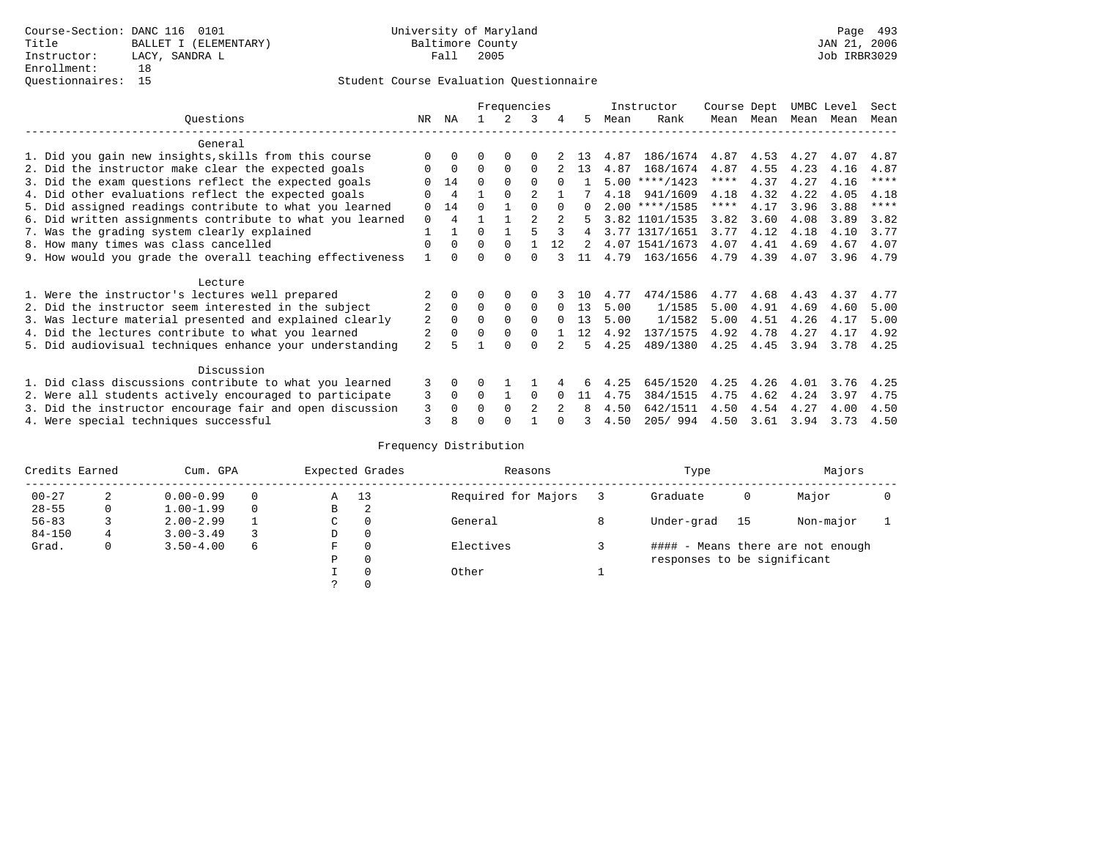|                                                           |                |                |              | Frequencies  |                |          |          |      | Instructor       | Course Dept |           | UMBC Level |      | Sect        |
|-----------------------------------------------------------|----------------|----------------|--------------|--------------|----------------|----------|----------|------|------------------|-------------|-----------|------------|------|-------------|
| Ouestions                                                 | NR             | ΝA             |              | 2            | 3              | 4        | 5        | Mean | Rank             |             | Mean Mean | Mean       | Mean | Mean        |
| General                                                   |                |                |              |              |                |          |          |      |                  |             |           |            |      |             |
| 1. Did you gain new insights, skills from this course     |                | $\Omega$       | 0            | 0            | 0              |          | 13       | 4.87 | 186/1674         | 4.87        | 4.53      | 4.27       | 4.07 | 4.87        |
| 2. Did the instructor make clear the expected goals       | 0              | $\Omega$       | 0            | $\Omega$     | $\Omega$       |          | 13       | 4.87 | 168/1674         | 4.87        | 4.55      | 4.23       | 4.16 | 4.87        |
| 3. Did the exam questions reflect the expected goals      |                | 14             | $\Omega$     | $\Omega$     |                |          |          |      | $5.00$ ****/1423 | $***$ * *   | 4.37      | 4.27       | 4.16 | $***$ * * * |
| 4. Did other evaluations reflect the expected goals       |                | 4              |              | $\Omega$     |                |          |          | 4.18 | 941/1609         | 4.18        | 4.32      | 4.22       | 4.05 | 4.18        |
| 5. Did assigned readings contribute to what you learned   | 0              | 14             | <sup>0</sup> |              | $\Omega$       | $\Omega$ | $\Omega$ |      | $2.00$ ****/1585 | ****        | 4.17      | 3.96       | 3.88 | $***$ * * * |
| 6. Did written assignments contribute to what you learned | $\Omega$       | $\overline{4}$ |              |              | $\mathfrak{D}$ | $2^{1}$  | 5        |      | 3.82 1101/1535   | 3.82        | 3.60      | 4.08       | 3.89 | 3.82        |
| 7. Was the grading system clearly explained               |                |                | 0            |              |                |          | 4        |      | 3.77 1317/1651   | 3.77        | 4.12      | 4.18       | 4.10 | 3.77        |
| 8. How many times was class cancelled                     | 0              | $\Omega$       | $\Omega$     | $\Omega$     |                | 12       | 2        |      | 4.07 1541/1673   | 4.07        | 4.41      | 4.69       | 4.67 | 4.07        |
| 9. How would you grade the overall teaching effectiveness |                | <sup>n</sup>   |              | <sup>n</sup> | U              |          | 11       | 4.79 | 163/1656         | 4.79        | 4.39      | 4.07       | 3.96 | 4.79        |
| Lecture                                                   |                |                |              |              |                |          |          |      |                  |             |           |            |      |             |
| 1. Were the instructor's lectures well prepared           |                |                |              | $\Omega$     |                |          | 1 N      | 4.77 | 474/1586         | 4.77        | 4.68      | 4.43       | 4.37 | 4.77        |
| 2. Did the instructor seem interested in the subject      | 2              | $\Omega$       | $\Omega$     | $\Omega$     | $\Omega$       |          | 13       | 5.00 | 1/1585           | 5.00        | 4.91      | 4.69       | 4.60 | 5.00        |
| 3. Was lecture material presented and explained clearly   | 2              | $\Omega$       | 0            | $\Omega$     | $\Omega$       | $\Omega$ | 13       | 5.00 | 1/1582           | 5.00        | 4.51      | 4.26       | 4.17 | 5.00        |
| 4. Did the lectures contribute to what you learned        | 2              | $\Omega$       | 0            | $\Omega$     | $\Omega$       |          | 12       | 4.92 | 137/1575         | 4.92        | 4.78      | 4.27       | 4.17 | 4.92        |
| 5. Did audiovisual techniques enhance your understanding  | $\overline{a}$ |                |              | $\cap$       |                |          | ц.       | 4.25 | 489/1380         | 4.25        | 4.45      | 3.94       | 3.78 | 4.25        |
| Discussion                                                |                |                |              |              |                |          |          |      |                  |             |           |            |      |             |
| 1. Did class discussions contribute to what you learned   | 3              | $\Omega$       | 0            |              |                |          |          | 4.25 | 645/1520         | 4.25        | 4.26      | 4.01       | 3.76 | 4.25        |
| 2. Were all students actively encouraged to participate   | 3              | $\mathbf 0$    | 0            |              | $\Omega$       |          | 11       | 4.75 | 384/1515         | 4.75        | 4.62      | 4.24       | 3.97 | 4.75        |
| 3. Did the instructor encourage fair and open discussion  | 3              | 0              |              | $\Omega$     | 2              | $2^{1}$  | 8        | 4.50 | 642/1511         | 4.50        | 4.54      | 4.27       | 4.00 | 4.50        |
| 4. Were special techniques successful                     | 3              |                |              |              |                |          |          | 4.50 | 205/994          | 4.50        | 3.61      | 3.94       | 3.73 | 4.50        |

| Credits Earned |              | Cum. GPA      |          |               | Expected Grades | Reasons             | Type                        |    | Majors                            |  |
|----------------|--------------|---------------|----------|---------------|-----------------|---------------------|-----------------------------|----|-----------------------------------|--|
| $00 - 27$      | 2            | $0.00 - 0.99$ |          | Α             | 13              | Required for Majors | Graduate                    | 0  | Major                             |  |
| $28 - 55$      | $\mathbf{0}$ | $1.00 - 1.99$ | $\Omega$ | В             | 2               |                     |                             |    |                                   |  |
| $56 - 83$      |              | $2.00 - 2.99$ |          | C.            | 0               | General             | Under-grad                  | 15 | Non-major                         |  |
| $84 - 150$     |              | $3.00 - 3.49$ |          | D             | 0               |                     |                             |    |                                   |  |
| Grad.          | $\mathbf{0}$ | $3.50 - 4.00$ | 6        | F             | $\Omega$        | Electives           |                             |    | #### - Means there are not enough |  |
|                |              |               |          | P             | $\Omega$        |                     | responses to be significant |    |                                   |  |
|                |              |               |          |               | $\Omega$        | Other               |                             |    |                                   |  |
|                |              |               |          | $\mathcal{L}$ | $\Omega$        |                     |                             |    |                                   |  |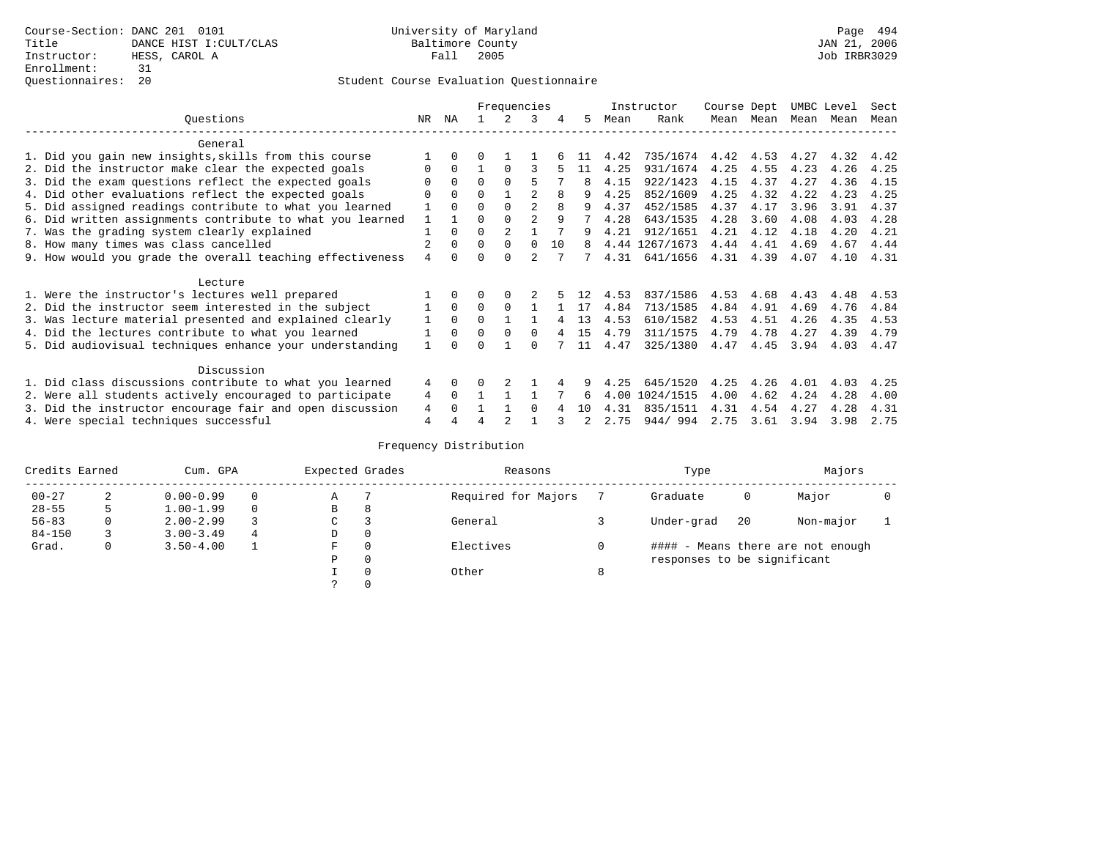|                                                           |     |          |          | Frequencies    |                |    |     |      | Instructor     | Course Dept |      | UMBC Level |      | Sect |
|-----------------------------------------------------------|-----|----------|----------|----------------|----------------|----|-----|------|----------------|-------------|------|------------|------|------|
| Ouestions                                                 | NR. | ΝA       |          |                | 3              | 4  | 5   | Mean | Rank           | Mean        | Mean | Mean       | Mean | Mean |
| General                                                   |     |          |          |                |                |    |     |      |                |             |      |            |      |      |
| 1. Did you gain new insights, skills from this course     |     | 0        |          |                |                |    |     | 4.42 | 735/1674       | 4.42        | 4.53 | 4.27       | 4.32 | 4.42 |
| 2. Did the instructor make clear the expected goals       |     | $\Omega$ |          | $\Omega$       | ς              |    | 11  | 4.25 | 931/1674       | 4.25        | 4.55 | 4.23       | 4.26 | 4.25 |
| 3. Did the exam questions reflect the expected goals      |     | $\Omega$ | $\Omega$ | $\Omega$       | 5              |    |     | 4.15 | 922/1423       | 4.15        | 4.37 | 4.27       | 4.36 | 4.15 |
| 4. Did other evaluations reflect the expected goals       |     | $\Omega$ | 0        |                | $\mathfrak{D}$ |    |     | 4.25 | 852/1609       | 4.25        | 4.32 | 4.22       | 4.23 | 4.25 |
| 5. Did assigned readings contribute to what you learned   |     | 0        |          | $\Omega$       | $\mathfrak{D}$ | 8  |     | 4.37 | 452/1585       | 4.37        | 4.17 | 3.96       | 3.91 | 4.37 |
| 6. Did written assignments contribute to what you learned |     |          | U        |                | $\mathfrak{D}$ | 9  |     | 4.28 | 643/1535       | 4.28        | 3.60 | 4.08       | 4.03 | 4.28 |
| 7. Was the grading system clearly explained               |     |          | U        | $\overline{2}$ |                |    | 9   | 4.21 | 912/1651       | 4.21        | 4.12 | 4.18       | 4.20 | 4.21 |
| 8. How many times was class cancelled                     |     | 0        | $\Omega$ | $\Omega$       | $\Omega$       | 10 | 8   |      | 4.44 1267/1673 | 4.44        | 4.41 | 4.69       | 4.67 | 4.44 |
| 9. How would you grade the overall teaching effectiveness | 4   |          |          | $\cap$         | $\mathfrak{D}$ |    |     | 4.31 | 641/1656       | 4.31        | 4.39 | 4.07       | 4.10 | 4.31 |
| Lecture                                                   |     |          |          |                |                |    |     |      |                |             |      |            |      |      |
| 1. Were the instructor's lectures well prepared           |     |          |          |                |                |    |     | 4.53 | 837/1586       | 4.53        | 4.68 | 4.43       | 4.48 | 4.53 |
| 2. Did the instructor seem interested in the subject      |     | $\Omega$ | 0        | $\Omega$       |                |    | 17  | 4.84 | 713/1585       | 4.84        | 4.91 | 4.69       | 4.76 | 4.84 |
| 3. Was lecture material presented and explained clearly   |     | $\Omega$ | $\Omega$ |                |                |    | 13  | 4.53 | 610/1582       | 4.53        | 4.51 | 4.26       | 4.35 | 4.53 |
| 4. Did the lectures contribute to what you learned        |     | $\Omega$ | 0        | $\Omega$       | 0              |    | 1.5 | 4.79 | 311/1575       | 4.79        | 4.78 | 4.27       | 4.39 | 4.79 |
| 5. Did audiovisual techniques enhance your understanding  |     |          |          |                |                |    | 11  | 4.47 | 325/1380       | 4.47        | 4.45 | 3.94       | 4.03 | 4.47 |
|                                                           |     |          |          |                |                |    |     |      |                |             |      |            |      |      |
| Discussion                                                |     |          |          |                |                |    |     |      |                |             |      |            |      |      |
| 1. Did class discussions contribute to what you learned   | 4   | $\Omega$ |          |                |                |    |     | 4.25 | 645/1520       | 4.25        | 4.26 | 4.01       | 4.03 | 4.25 |
| 2. Were all students actively encouraged to participate   | 4   | $\Omega$ |          |                |                |    | 6   | 4.00 | 1024/1515      | 4.00        | 4.62 | 4.24       | 4.28 | 4.00 |
| 3. Did the instructor encourage fair and open discussion  | 4   |          |          |                | 0              |    | 10  | 4.31 | 835/1511       | 4.31        | 4.54 | 4.27       | 4.28 | 4.31 |
| 4. Were special techniques successful                     | 4   |          |          |                |                |    |     | 2.75 | 944/994        | 2.75        | 3.61 | 3.94       | 3.98 | 2.75 |

| Credits Earned |   | Cum. GPA      |   | Expected Grades |          | Reasons             |   | Type                        |    | Majors                            |  |
|----------------|---|---------------|---|-----------------|----------|---------------------|---|-----------------------------|----|-----------------------------------|--|
| $00 - 27$      | 2 | $0.00 - 0.99$ |   | Α               |          | Required for Majors |   | Graduate                    | 0  | Major                             |  |
| $28 - 55$      | 5 | $1.00 - 1.99$ |   | B               | 8        |                     |   |                             |    |                                   |  |
| $56 - 83$      | 0 | $2.00 - 2.99$ |   | C               |          | General             |   | Under-grad                  | 20 | Non-major                         |  |
| $84 - 150$     |   | $3.00 - 3.49$ | 4 | D               | 0        |                     |   |                             |    |                                   |  |
| Grad.          | 0 | $3.50 - 4.00$ |   | F               | 0        | Electives           |   |                             |    | #### - Means there are not enough |  |
|                |   |               |   | Ρ               | 0        |                     |   | responses to be significant |    |                                   |  |
|                |   |               |   |                 | $\Omega$ | Other               | 8 |                             |    |                                   |  |
|                |   |               |   |                 |          |                     |   |                             |    |                                   |  |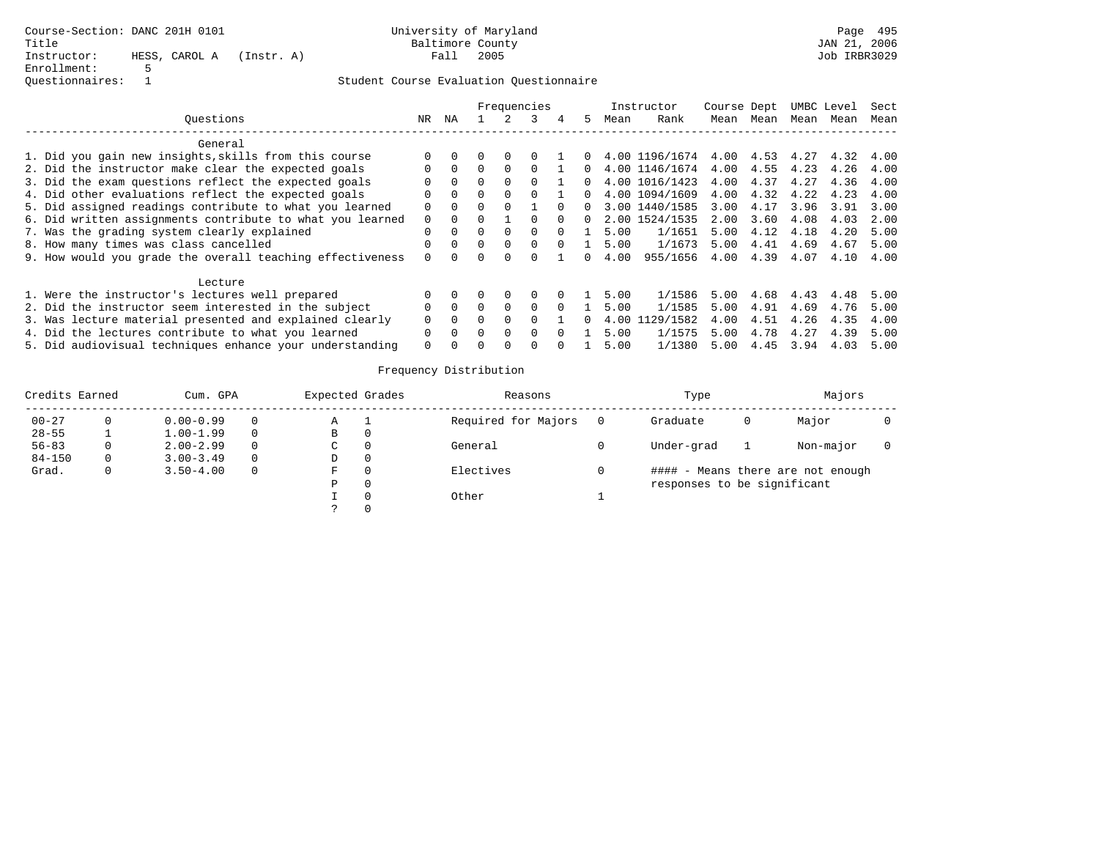|                                                           |              |          |          |              | Frequencies |              |    |      | Instructor     | Course Dept |      |      | UMBC Level | Sect |
|-----------------------------------------------------------|--------------|----------|----------|--------------|-------------|--------------|----|------|----------------|-------------|------|------|------------|------|
| Ouestions                                                 | NR.          | ΝA       |          |              |             | 4            | 5. | Mean | Rank           | Mean        | Mean | Mean | Mean       | Mean |
| General                                                   |              |          |          |              |             |              |    |      |                |             |      |      |            |      |
| 1. Did you gain new insights, skills from this course     | $\Omega$     |          | 0        | <sup>0</sup> |             |              |    |      | 4.00 1196/1674 | 4.00        | 4.53 | 4.27 | 4.32       | 4.00 |
| 2. Did the instructor make clear the expected goals       | <sup>n</sup> | $\Omega$ | 0        |              |             |              |    |      | 4.00 1146/1674 | 4.00        | 4.55 | 4.23 | 4.26       | 4.00 |
| 3. Did the exam questions reflect the expected goals      |              |          | 0        |              |             |              |    | 4.00 | 1016/1423      | 4.00        | 4.37 | 4.27 | 4.36       | 4.00 |
| 4. Did other evaluations reflect the expected goals       | $\Omega$     | $\Omega$ | $\Omega$ | $\Omega$     |             |              |    |      | 4.00 1094/1609 | 4.00        | 4.32 | 4.22 | 4.23       | 4.00 |
| 5. Did assigned readings contribute to what you learned   | $\Omega$     | $\Omega$ | 0        |              |             |              | n. |      | 3.00 1440/1585 | 3.00        | 4.17 | 3.96 | 3.91       | 3.00 |
| 6. Did written assignments contribute to what you learned | $\Omega$     |          |          |              |             |              | 0  |      | 2.00 1524/1535 | 2.00        | 3.60 | 4.08 | 4.03       | 2.00 |
| 7. Was the grading system clearly explained               | $\Omega$     | $\Omega$ | $\cap$   |              | $\Omega$    |              |    | 5.00 | 1/1651         | 5.00        | 4.12 | 4.18 | 4.20       | 5.00 |
| 8. How many times was class cancelled                     | $\Omega$     | $\cap$   | $\Omega$ | $\Omega$     | $\cap$      | <sup>n</sup> |    | 5.00 | 1/1673         | 5.00        | 4.41 | 4.69 | 4.67       | 5.00 |
| 9. How would you grade the overall teaching effectiveness | $\Omega$     |          |          |              |             |              |    | 4.00 | 955/1656       | 4.00        | 4.39 | 4.07 | 4.10       | 4.00 |
| Lecture                                                   |              |          |          |              |             |              |    |      |                |             |      |      |            |      |
| 1. Were the instructor's lectures well prepared           | <sup>n</sup> |          |          | <sup>0</sup> |             |              |    | 5.00 | 1/1586         | 5.00        | 4.68 | 4.43 | 4.48       | 5.00 |
| 2. Did the instructor seem interested in the subject      | $\Omega$     | $\Omega$ | $\cap$   | $\Omega$     | $\Omega$    |              |    | 5.00 | 1/1585         | 5.00        | 4.91 | 4.69 | 4.76       | 5.00 |
| 3. Was lecture material presented and explained clearly   | $\Omega$     | $\Omega$ |          |              |             |              | 0  | 4.00 | 1129/1582      | 4.00        | 4.51 | 4.26 | 4.35       | 4.00 |
| 4. Did the lectures contribute to what you learned        | $\Omega$     |          | $\cap$   | $\Omega$     | $\Omega$    |              |    | 5.00 | 1/1575         | 5.00        | 4.78 | 4.27 | 4.39       | 5.00 |
| 5. Did audiovisual techniques enhance your understanding  | $\Omega$     |          |          |              |             |              |    | 5.00 | 1/1380         | 5.00        | 4.45 | 3.94 | 4.03       | 5.00 |

| Credits Earned |   | Cum. GPA      |          | Expected Grades | Reasons             | Type                        |   | Majors                            |  |
|----------------|---|---------------|----------|-----------------|---------------------|-----------------------------|---|-----------------------------------|--|
| $00 - 27$      |   | $0.00 - 0.99$ | 0        | Α               | Required for Majors | Graduate                    | O | Major                             |  |
| $28 - 55$      |   | $1.00 - 1.99$ | $\Omega$ | В               |                     |                             |   |                                   |  |
| $56 - 83$      |   | $2.00 - 2.99$ | $\Omega$ | C               | General             | Under-grad                  |   | Non-major                         |  |
| $84 - 150$     | 0 | $3.00 - 3.49$ | $\Omega$ | D               |                     |                             |   |                                   |  |
| Grad.          |   | $3.50 - 4.00$ | $\Omega$ | F               | Electives           |                             |   | #### - Means there are not enough |  |
|                |   |               |          | P               |                     | responses to be significant |   |                                   |  |
|                |   |               |          |                 | Other               |                             |   |                                   |  |
|                |   |               |          |                 |                     |                             |   |                                   |  |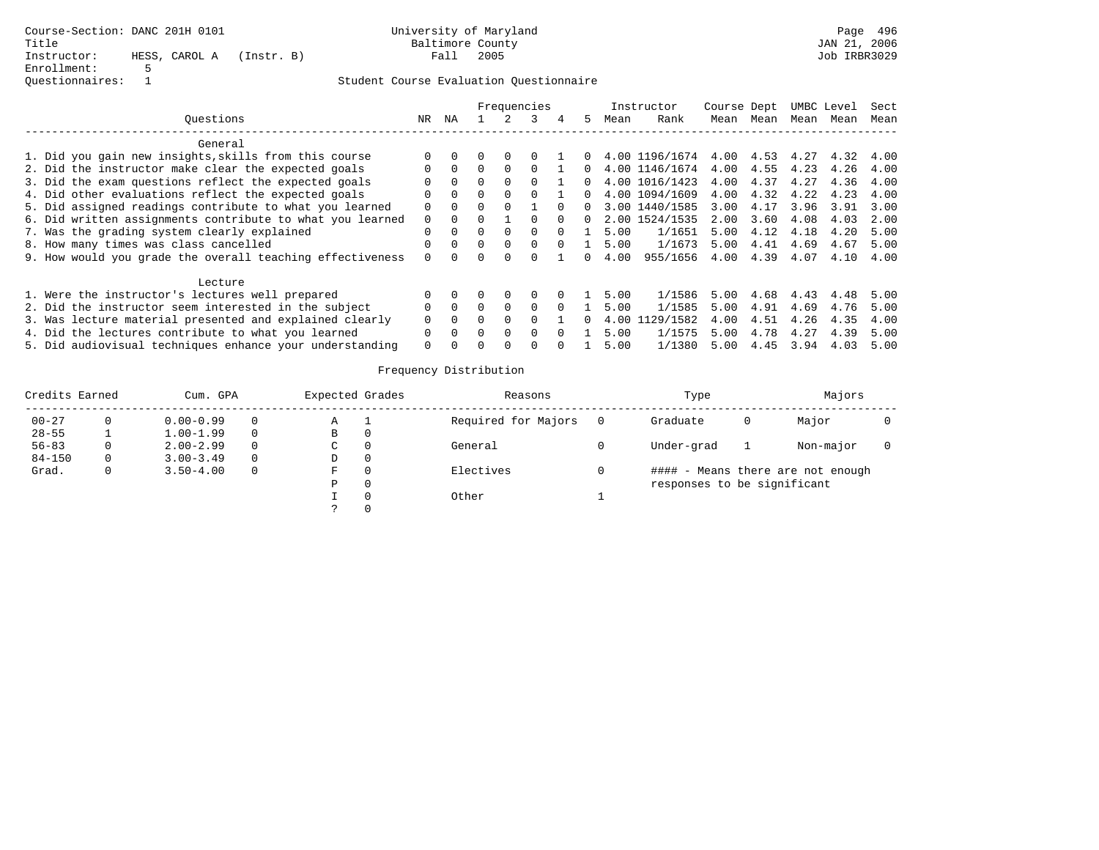|                                                           |              |          | Frequencies |              |          |              |    |      | Instructor     | Course Dept |      |      | UMBC Level | Sect |
|-----------------------------------------------------------|--------------|----------|-------------|--------------|----------|--------------|----|------|----------------|-------------|------|------|------------|------|
| Ouestions                                                 | NR.          | ΝA       |             |              |          | 4            | 5. | Mean | Rank           | Mean        | Mean | Mean | Mean       | Mean |
| General                                                   |              |          |             |              |          |              |    |      |                |             |      |      |            |      |
| 1. Did you gain new insights, skills from this course     | $\Omega$     |          | 0           | <sup>0</sup> |          |              |    |      | 4.00 1196/1674 | 4.00        | 4.53 | 4.27 | 4.32       | 4.00 |
| 2. Did the instructor make clear the expected goals       | <sup>n</sup> | $\Omega$ | 0           |              |          |              |    |      | 4.00 1146/1674 | 4.00        | 4.55 | 4.23 | 4.26       | 4.00 |
| 3. Did the exam questions reflect the expected goals      |              |          | 0           |              |          |              |    | 4.00 | 1016/1423      | 4.00        | 4.37 | 4.27 | 4.36       | 4.00 |
| 4. Did other evaluations reflect the expected goals       | $\Omega$     | $\Omega$ | $\Omega$    | $\Omega$     |          |              |    |      | 4.00 1094/1609 | 4.00        | 4.32 | 4.22 | 4.23       | 4.00 |
| 5. Did assigned readings contribute to what you learned   | $\Omega$     | $\Omega$ | 0           |              |          |              | n. |      | 3.00 1440/1585 | 3.00        | 4.17 | 3.96 | 3.91       | 3.00 |
| 6. Did written assignments contribute to what you learned | $\Omega$     |          |             |              |          |              | 0  |      | 2.00 1524/1535 | 2.00        | 3.60 | 4.08 | 4.03       | 2.00 |
| 7. Was the grading system clearly explained               | $\Omega$     | $\Omega$ | $\cap$      |              | $\Omega$ |              |    | 5.00 | 1/1651         | 5.00        | 4.12 | 4.18 | 4.20       | 5.00 |
| 8. How many times was class cancelled                     | $\Omega$     | $\cap$   | $\Omega$    | $\Omega$     | $\cap$   | <sup>n</sup> |    | 5.00 | 1/1673         | 5.00        | 4.41 | 4.69 | 4.67       | 5.00 |
| 9. How would you grade the overall teaching effectiveness | $\Omega$     |          |             |              |          |              |    | 4.00 | 955/1656       | 4.00        | 4.39 | 4.07 | 4.10       | 4.00 |
| Lecture                                                   |              |          |             |              |          |              |    |      |                |             |      |      |            |      |
| 1. Were the instructor's lectures well prepared           | <sup>n</sup> |          |             | <sup>0</sup> |          |              |    | 5.00 | 1/1586         | 5.00        | 4.68 | 4.43 | 4.48       | 5.00 |
| 2. Did the instructor seem interested in the subject      | $\Omega$     | $\Omega$ | $\cap$      | $\Omega$     | $\Omega$ |              |    | 5.00 | 1/1585         | 5.00        | 4.91 | 4.69 | 4.76       | 5.00 |
| 3. Was lecture material presented and explained clearly   | $\Omega$     | $\Omega$ |             |              |          |              | 0  | 4.00 | 1129/1582      | 4.00        | 4.51 | 4.26 | 4.35       | 4.00 |
| 4. Did the lectures contribute to what you learned        | $\Omega$     |          | $\cap$      | $\Omega$     | $\Omega$ |              |    | 5.00 | 1/1575         | 5.00        | 4.78 | 4.27 | 4.39       | 5.00 |
| 5. Did audiovisual techniques enhance your understanding  | $\Omega$     |          |             |              |          |              |    | 5.00 | 1/1380         | 5.00        | 4.45 | 3.94 | 4.03       | 5.00 |

| Credits Earned |   | Cum. GPA      |          | Expected Grades | Reasons             | Type                        |   | Majors                            |  |
|----------------|---|---------------|----------|-----------------|---------------------|-----------------------------|---|-----------------------------------|--|
| $00 - 27$      |   | $0.00 - 0.99$ | 0        | Α               | Required for Majors | Graduate                    | O | Major                             |  |
| $28 - 55$      |   | $1.00 - 1.99$ | $\Omega$ | В               |                     |                             |   |                                   |  |
| $56 - 83$      |   | $2.00 - 2.99$ | $\Omega$ | C               | General             | Under-grad                  |   | Non-major                         |  |
| $84 - 150$     | 0 | $3.00 - 3.49$ | $\Omega$ | D               |                     |                             |   |                                   |  |
| Grad.          |   | $3.50 - 4.00$ | $\Omega$ | F               | Electives           |                             |   | #### - Means there are not enough |  |
|                |   |               |          | P               |                     | responses to be significant |   |                                   |  |
|                |   |               |          |                 | Other               |                             |   |                                   |  |
|                |   |               |          |                 |                     |                             |   |                                   |  |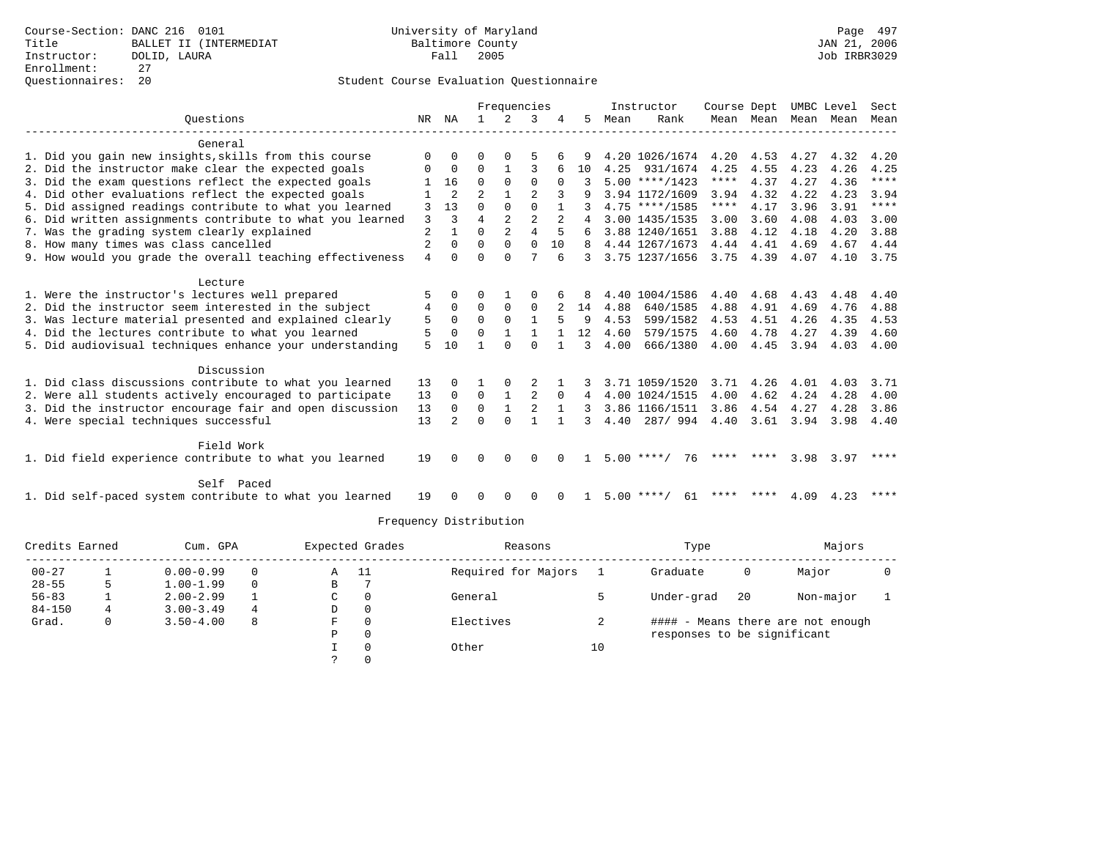|                                                           |                |                |                | Frequencies    |                |                |               |      | Instructor         | Course Dept |                         |      | UMBC Level | Sect        |
|-----------------------------------------------------------|----------------|----------------|----------------|----------------|----------------|----------------|---------------|------|--------------------|-------------|-------------------------|------|------------|-------------|
| Ouestions                                                 | NR.            | ΝA             |                | 2              | 3              |                | 5.            | Mean | Rank               |             | Mean Mean Mean Mean     |      |            | Mean        |
| General                                                   |                |                |                |                |                |                |               |      |                    |             |                         |      |            |             |
| 1. Did you gain new insights, skills from this course     | <sup>0</sup>   | $\Omega$       |                |                | 5              |                | 9             |      | 4.20 1026/1674     |             | 4.20 4.53 4.27          |      | 4.32       | 4.20        |
| 2. Did the instructor make clear the expected goals       | 0              | 0              | $\Omega$       | $\mathbf{1}$   | 3              | 6              | 10            |      | 4.25 931/1674      | 4.25        | 4.55                    | 4.23 | 4.26       | 4.25        |
| 3. Did the exam questions reflect the expected goals      |                | 16             | $\Omega$       | $\Omega$       | $\Omega$       | $\Omega$       |               |      | $5.00$ ****/1423   | $***$ * * * | 4.37                    | 4.27 | 4.36       | ****        |
| 4. Did other evaluations reflect the expected goals       |                | $\overline{2}$ | $\mathfrak{D}$ |                | 2              | 3              |               |      | 3.94 1172/1609     | 3.94        | 4.32                    | 4.22 | 4.23       | 3.94        |
| 5. Did assigned readings contribute to what you learned   | 3              | 13             | 0              | $\Omega$       | $\Omega$       |                |               |      | $4.75$ ****/1585   | $***$ * * * | 4.17                    | 3.96 | 3.91       | $***$ * * * |
| 6. Did written assignments contribute to what you learned | 3              | 3              | 4              | $\overline{a}$ | $\overline{a}$ | $\overline{a}$ |               |      | 4 3.00 1435/1535   | 3.00        | 3.60                    | 4.08 | 4.03       | 3.00        |
| 7. Was the grading system clearly explained               | $\overline{2}$ |                | O              | $\overline{a}$ | 4              | 5              |               |      | 3.88 1240/1651     | 3.88        | 4.12                    | 4.18 | 4.20       | 3.88        |
| 8. How many times was class cancelled                     | 2              | $\Omega$       | 0              | $\Omega$       | $\Omega$       | 10             | 8             |      | 4.44 1267/1673     |             | 4.44 4.41               | 4.69 | 4.67       | 4.44        |
| 9. How would you grade the overall teaching effectiveness | 4              | $\Omega$       | $\Omega$       | $\Omega$       |                | 6              | $\mathcal{R}$ |      | 3.75 1237/1656     |             | 3.75 4.39               | 4.07 |            | 4.10 3.75   |
|                                                           |                |                |                |                |                |                |               |      |                    |             |                         |      |            |             |
| Lecture                                                   |                |                |                |                |                |                |               |      |                    |             |                         |      |            |             |
| 1. Were the instructor's lectures well prepared           | 5              | $\Omega$       | 0              |                | 0              | 6              | 8             |      | 4.40 1004/1586     | 4.40        | 4.68                    | 4.43 | 4.48       | 4.40        |
| 2. Did the instructor seem interested in the subject      | 4              | $\Omega$       | $\Omega$       | $\Omega$       | $\Omega$       | $2^{\circ}$    | 14            | 4.88 | 640/1585           | 4.88        | 4.91                    | 4.69 | 4.76       | 4.88        |
| 3. Was lecture material presented and explained clearly   | 5              | $\Omega$       | $\Omega$       | $\Omega$       | $\mathbf{1}$   | 5              | 9             | 4.53 | 599/1582           | 4.53        | 4.51                    | 4.26 | 4.35       | 4.53        |
| 4. Did the lectures contribute to what you learned        | 5              | $\Omega$       | $\Omega$       |                |                |                | 12            | 4.60 | 579/1575           | 4.60        | 4.78                    | 4.27 | 4.39       | 4.60        |
| 5. Did audiovisual techniques enhance your understanding  | 5.             | 10             |                | $\Omega$       | $\cap$         |                | 3             | 4.00 | 666/1380           | 4.00        | 4.45                    | 3.94 | 4.03       | 4.00        |
| Discussion                                                |                |                |                |                |                |                |               |      |                    |             |                         |      |            |             |
| 1. Did class discussions contribute to what you learned   | 13             | 0              |                |                |                |                |               |      | 3.71 1059/1520     | 3.71        | 4.26                    | 4.01 | 4.03       | 3.71        |
| 2. Were all students actively encouraged to participate   | 13             | $\Omega$       | $\Omega$       | 1              | 2              | $\Omega$       | 4             |      | 4.00 1024/1515     | 4.00        | 4.62                    | 4.24 | 4.28       | 4.00        |
| 3. Did the instructor encourage fair and open discussion  | 13             | $\Omega$       | $\Omega$       | $\mathbf{1}$   | 2              |                | 3             |      | 3.86 1166/1511     | 3.86        | 4.54                    | 4.27 | 4.28       | 3.86        |
| 4. Were special techniques successful                     | 13             | $2^{1}$        | $\Omega$       | $\Omega$       |                |                | 3             |      | 4.40 287/994       |             | 4.40 3.61 3.94          |      | 3.98 4.40  |             |
|                                                           |                |                |                |                |                |                |               |      |                    |             |                         |      |            |             |
| Field Work                                                |                |                |                |                |                |                |               |      |                    |             |                         |      |            |             |
| 1. Did field experience contribute to what you learned    | 19             | $\Omega$       | $\Omega$       | $\Omega$       | $\Omega$       | $\Omega$       | 1.            |      | $5.00$ ****/<br>76 |             | **** ****               | 3.98 | 3.97       | ****        |
| Self Paced                                                |                |                |                |                |                |                |               |      |                    |             |                         |      |            |             |
| 1. Did self-paced system contribute to what you learned   | 19             | $\Omega$       | $\Omega$       | $\Omega$       | $\Omega$       | $\Omega$       | $\mathbf{1}$  |      | $5.00$ ****/<br>61 |             | **** **** $4.09$ $4.23$ |      |            |             |

| Credits Earned |   | Cum. GPA      |          | Expected Grades |          | Reasons             |    | Type                        |    | Majors                            |  |
|----------------|---|---------------|----------|-----------------|----------|---------------------|----|-----------------------------|----|-----------------------------------|--|
| $00 - 27$      |   | $0.00 - 0.99$ | 0        | Α               | -11      | Required for Majors |    | Graduate                    | 0  | Major                             |  |
| $28 - 55$      |   | $1.00 - 1.99$ | $\Omega$ | В               |          |                     |    |                             |    |                                   |  |
| $56 - 83$      |   | $2.00 - 2.99$ |          | C               |          | General             |    | Under-grad                  | 20 | Non-major                         |  |
| $84 - 150$     | 4 | $3.00 - 3.49$ | 4        | D               | 0        |                     |    |                             |    |                                   |  |
| Grad.          |   | $3.50 - 4.00$ | 8        | F               |          | Electives           | ∠  |                             |    | #### - Means there are not enough |  |
|                |   |               |          | P               | $\Omega$ |                     |    | responses to be significant |    |                                   |  |
|                |   |               |          |                 |          | Other               | 10 |                             |    |                                   |  |
|                |   |               |          |                 |          |                     |    |                             |    |                                   |  |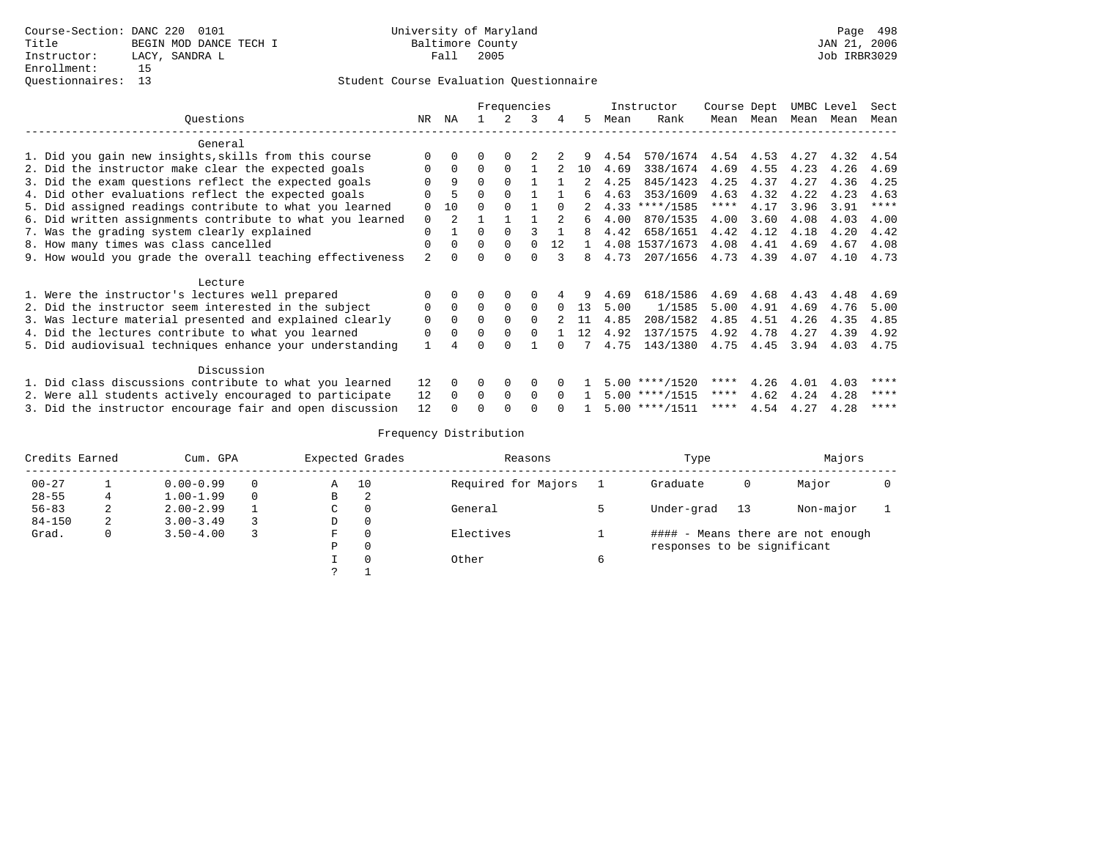|                                                           |             |               | Frequencies<br>3 |          |          |              |     |      | Instructor         | Course Dept |           |      | UMBC Level | Sect        |
|-----------------------------------------------------------|-------------|---------------|------------------|----------|----------|--------------|-----|------|--------------------|-------------|-----------|------|------------|-------------|
| Ouestions                                                 | NR.         | NA            |                  |          |          |              | .5. | Mean | Rank               |             | Mean Mean | Mean | Mean       | Mean        |
| General                                                   |             |               |                  |          |          |              |     |      |                    |             |           |      |            |             |
| 1. Did you gain new insights, skills from this course     | $\Omega$    |               |                  |          |          |              |     | 4.54 | 570/1674 4.54 4.53 |             |           | 4.27 | 4.32       | 4.54        |
| 2. Did the instructor make clear the expected goals       | $\Omega$    | $\Omega$      | $\Omega$         | $\Omega$ |          |              | 10  | 4.69 | 338/1674           | 4.69        | 4.55      | 4.23 | 4.26       | 4.69        |
| 3. Did the exam questions reflect the expected goals      | $\Omega$    | 9             | $\Omega$         |          |          |              | 2   | 4.25 | 845/1423           | 4.25        | 4.37      | 4.27 | 4.36       | 4.25        |
| 4. Did other evaluations reflect the expected goals       |             |               | $\Omega$         |          |          |              | б.  | 4.63 | 353/1609           | 4.63        | 4.32      | 4.22 | 4.23       | 4.63        |
| 5. Did assigned readings contribute to what you learned   | $\Omega$    | 10            | $\Omega$         |          |          | $\Omega$     | 2   |      | $4.33$ ****/1585   | ****        | 4.17      | 3.96 | 3.91       | $***$ * * * |
| 6. Did written assignments contribute to what you learned | $\mathbf 0$ | $\mathcal{L}$ |                  |          |          |              | б.  | 4.00 | 870/1535           | 4.00        | 3.60      | 4.08 | 4.03       | 4.00        |
| 7. Was the grading system clearly explained               | $\Omega$    |               | $\Omega$         | $\Omega$ |          |              | 8   | 4.42 | 658/1651           | 4.42        | 4.12      | 4.18 | 4.20       | 4.42        |
| 8. How many times was class cancelled                     | $\Omega$    | $\Omega$      | $\Omega$         | $\Omega$ | $\cap$   | 12           |     |      | 4.08 1537/1673     | 4.08        | 4.41      | 4.69 | 4.67       | 4.08        |
| 9. How would you grade the overall teaching effectiveness | 2           |               | $\Omega$         |          | $\Omega$ |              | 8   | 4.73 | 207/1656           | 4.73        | 4.39      | 4.07 | 4.10       | 4.73        |
| Lecture                                                   |             |               |                  |          |          |              |     |      |                    |             |           |      |            |             |
| 1. Were the instructor's lectures well prepared           |             |               |                  | 0        | 0        |              |     | 4.69 | 618/1586           | 4.69        | 4.68      | 4.43 | 4.48       | 4.69        |
| 2. Did the instructor seem interested in the subject      | 0           | $\Omega$      | $\Omega$         | $\Omega$ | $\Omega$ | $\Omega$     | 13  | 5.00 | 1/1585             | 5.00        | 4.91      | 4.69 | 4.76       | 5.00        |
| 3. Was lecture material presented and explained clearly   | $\mathbf 0$ | $\Omega$      | $\Omega$         |          | $\Omega$ |              | 11  | 4.85 | 208/1582           | 4.85        | 4.51      | 4.26 | 4.35       | 4.85        |
| 4. Did the lectures contribute to what you learned        | 0           | 0             | 0                |          | $\Omega$ |              | 12  | 4.92 | 137/1575           | 4.92        | 4.78      | 4.27 | 4.39       | 4.92        |
| 5. Did audiovisual techniques enhance your understanding  |             |               | U                |          |          |              |     | 4.75 | 143/1380           | 4.75        | 4.45      | 3.94 | 4.03       | 4.75        |
| Discussion                                                |             |               |                  |          |          |              |     |      |                    |             |           |      |            |             |
| 1. Did class discussions contribute to what you learned   | 12          | $\Omega$      | 0                | 0        | $\Omega$ |              |     |      | $5.00$ ****/1520   | ****        | 4.26      | 4.01 | 4.03       | ****        |
| 2. Were all students actively encouraged to participate   | 12          | $\Omega$      | $\Omega$         | $\Omega$ | $\Omega$ | <sup>n</sup> |     |      | $5.00$ ****/1515   | ****        | 4.62      | 4.24 | 4.28       | ****        |
| 3. Did the instructor encourage fair and open discussion  | 12          |               |                  |          |          |              |     |      | $5.00$ ****/1511   | ****        | 4.54      | 4.27 | 4.28       | ****        |

| Credits Earned |   | Cum. GPA      |          |   | Expected Grades | Reasons             |   | Type                        |    | Majors                            |  |
|----------------|---|---------------|----------|---|-----------------|---------------------|---|-----------------------------|----|-----------------------------------|--|
| $00 - 27$      |   | $0.00 - 0.99$ | $\Omega$ | Α | 10              | Required for Majors |   | Graduate                    | 0  | Major                             |  |
| $28 - 55$      |   | $1.00 - 1.99$ | $\Omega$ | B | 2               |                     |   |                             |    |                                   |  |
| $56 - 83$      | ∠ | $2.00 - 2.99$ |          | C |                 | General             |   | Under-grad                  | 13 | Non-major                         |  |
| $84 - 150$     | 2 | $3.00 - 3.49$ |          | D | 0               |                     |   |                             |    |                                   |  |
| Grad.          | 0 | $3.50 - 4.00$ |          | F |                 | Electives           |   |                             |    | #### - Means there are not enough |  |
|                |   |               |          | Ρ | $\Omega$        |                     |   | responses to be significant |    |                                   |  |
|                |   |               |          |   |                 | Other               | 6 |                             |    |                                   |  |
|                |   |               |          |   |                 |                     |   |                             |    |                                   |  |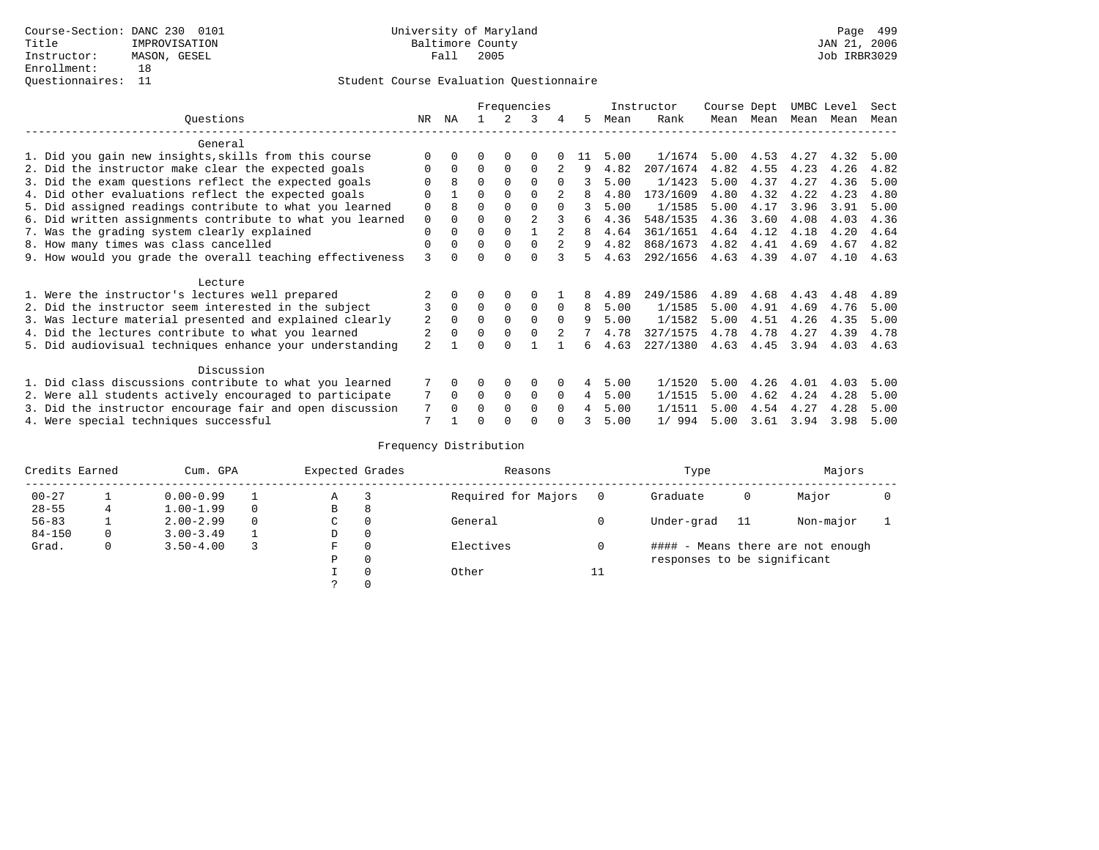|                                                           |                | Frequencies<br>ΝA<br>3<br>5.<br>4 |          |             |                |               |    |      | Instructor | Course Dept |      | UMBC Level |      | Sect |
|-----------------------------------------------------------|----------------|-----------------------------------|----------|-------------|----------------|---------------|----|------|------------|-------------|------|------------|------|------|
| Ouestions                                                 | NR.            |                                   |          |             |                |               |    | Mean | Rank       | Mean        | Mean | Mean       | Mean | Mean |
| General                                                   |                |                                   |          |             |                |               |    |      |            |             |      |            |      |      |
| 1. Did you gain new insights, skills from this course     |                | $\Omega$                          | O        | $\Omega$    | $\Omega$       |               | 11 | 5.00 | 1/1674     | 5.00        | 4.53 | 4.27       | 4.32 | 5.00 |
| 2. Did the instructor make clear the expected goals       | O              | $\Omega$                          | $\Omega$ | $\Omega$    | $\Omega$       |               | 9  | 4.82 | 207/1674   | 4.82        | 4.55 | 4.23       | 4.26 | 4.82 |
| 3. Did the exam questions reflect the expected goals      |                | 8                                 | $\Omega$ | $\Omega$    | $\Omega$       | $\Omega$      | 3  | 5.00 | 1/1423     | 5.00        | 4.37 | 4.27       | 4.36 | 5.00 |
| 4. Did other evaluations reflect the expected goals       | O              |                                   | $\Omega$ | $\Omega$    | $\Omega$       |               | 8  | 4.80 | 173/1609   | 4.80        | 4.32 | 4.22       | 4.23 | 4.80 |
| 5. Did assigned readings contribute to what you learned   | $\mathbf 0$    |                                   |          |             | $\Omega$       | $\Omega$      | 3  | 5.00 | 1/1585     | 5.00        | 4.17 | 3.96       | 3.91 | 5.00 |
| 6. Did written assignments contribute to what you learned | $\mathbf 0$    | $\Omega$                          | $\Omega$ |             | $\mathfrak{D}$ |               | б. | 4.36 | 548/1535   | 4.36        | 3.60 | 4.08       | 4.03 | 4.36 |
| 7. Was the grading system clearly explained               | $\Omega$       | $\Omega$                          | $\Omega$ | $\Omega$    |                |               | 8  | 4.64 | 361/1651   | 4.64        | 4.12 | 4.18       | 4.20 | 4.64 |
| 8. How many times was class cancelled                     | $\Omega$       | $\Omega$                          | $\Omega$ | $\Omega$    | $\Omega$       | $\mathcal{L}$ | 9  | 4.82 | 868/1673   | 4.82        | 4.41 | 4.69       | 4.67 | 4.82 |
| 9. How would you grade the overall teaching effectiveness | 3              | <sup>n</sup>                      | U        | ∩           | $\cap$         | २             | 5. | 4.63 | 292/1656   | 4.63        | 4.39 | 4.07       | 4.10 | 4.63 |
| Lecture                                                   |                |                                   |          |             |                |               |    |      |            |             |      |            |      |      |
| 1. Were the instructor's lectures well prepared           |                |                                   |          |             | $\Omega$       |               | 8  | 4.89 | 249/1586   | 4.89        | 4.68 | 4.43       | 4.48 | 4.89 |
| 2. Did the instructor seem interested in the subject      | 3              | $\Omega$                          | $\Omega$ | $\mathbf 0$ | $\mathbf 0$    | $\Omega$      | 8  | 5.00 | 1/1585     | 5.00        | 4.91 | 4.69       | 4.76 | 5.00 |
| 3. Was lecture material presented and explained clearly   | 2              | $\Omega$                          | $\Omega$ | $\Omega$    | $\Omega$       | $\Omega$      | 9  | 5.00 | 1/1582     | 5.00        | 4.51 | 4.26       | 4.35 | 5.00 |
| 4. Did the lectures contribute to what you learned        |                | $\Omega$                          | $\Omega$ | $\Omega$    | $\Omega$       |               |    | 4.78 | 327/1575   | 4.78        | 4.78 | 4.27       | 4.39 | 4.78 |
| 5. Did audiovisual techniques enhance your understanding  | $\overline{a}$ |                                   |          |             |                |               | б. | 4.63 | 227/1380   | 4.63        | 4.45 | 3.94       | 4.03 | 4.63 |
| Discussion                                                |                |                                   |          |             |                |               |    |      |            |             |      |            |      |      |
| 1. Did class discussions contribute to what you learned   |                | $\Omega$                          | 0        | $\Omega$    | $\Omega$       |               | 4  | 5.00 | 1/1520     | 5.00        | 4.26 | 4.01       | 4.03 | 5.00 |
| 2. Were all students actively encouraged to participate   |                | $\Omega$                          | $\Omega$ | $\mathbf 0$ | 0              | $\Omega$      | 4  | 5.00 | 1/1515     | 5.00        | 4.62 | 4.24       | 4.28 | 5.00 |
| 3. Did the instructor encourage fair and open discussion  | 7              | $\Omega$                          | O        | $\Omega$    | $\Omega$       | $\Omega$      |    | 5.00 | 1/1511     | 5.00        | 4.54 | 4.27       | 4.28 | 5.00 |
| 4. Were special techniques successful                     | 7              |                                   |          |             | U              |               |    | 5.00 | 1/994      | 5.00        | 3.61 | 3.94       | 3.98 | 5.00 |

| Credits Earned |   | Cum. GPA      | Expected Grades |          | Reasons             |          | Type                        |     | Majors                            |  |
|----------------|---|---------------|-----------------|----------|---------------------|----------|-----------------------------|-----|-----------------------------------|--|
| $00 - 27$      |   | $0.00 - 0.99$ | А               |          | Required for Majors | $\Omega$ | Graduate                    | 0   | Major                             |  |
| $28 - 55$      | 4 | $1.00 - 1.99$ | В               | 8        |                     |          |                             |     |                                   |  |
| $56 - 83$      |   | $2.00 - 2.99$ | $\sim$<br>◡     | 0        | General             |          | Under-grad                  | -11 | Non-major                         |  |
| $84 - 150$     | 0 | $3.00 - 3.49$ | D               | 0        |                     |          |                             |     |                                   |  |
| Grad.          | 0 | $3.50 - 4.00$ | F               | 0        | Electives           | 0        |                             |     | #### - Means there are not enough |  |
|                |   |               | Ρ               | 0        |                     |          | responses to be significant |     |                                   |  |
|                |   |               |                 | $\Omega$ | Other               | ⊥⊥       |                             |     |                                   |  |
|                |   |               |                 |          |                     |          |                             |     |                                   |  |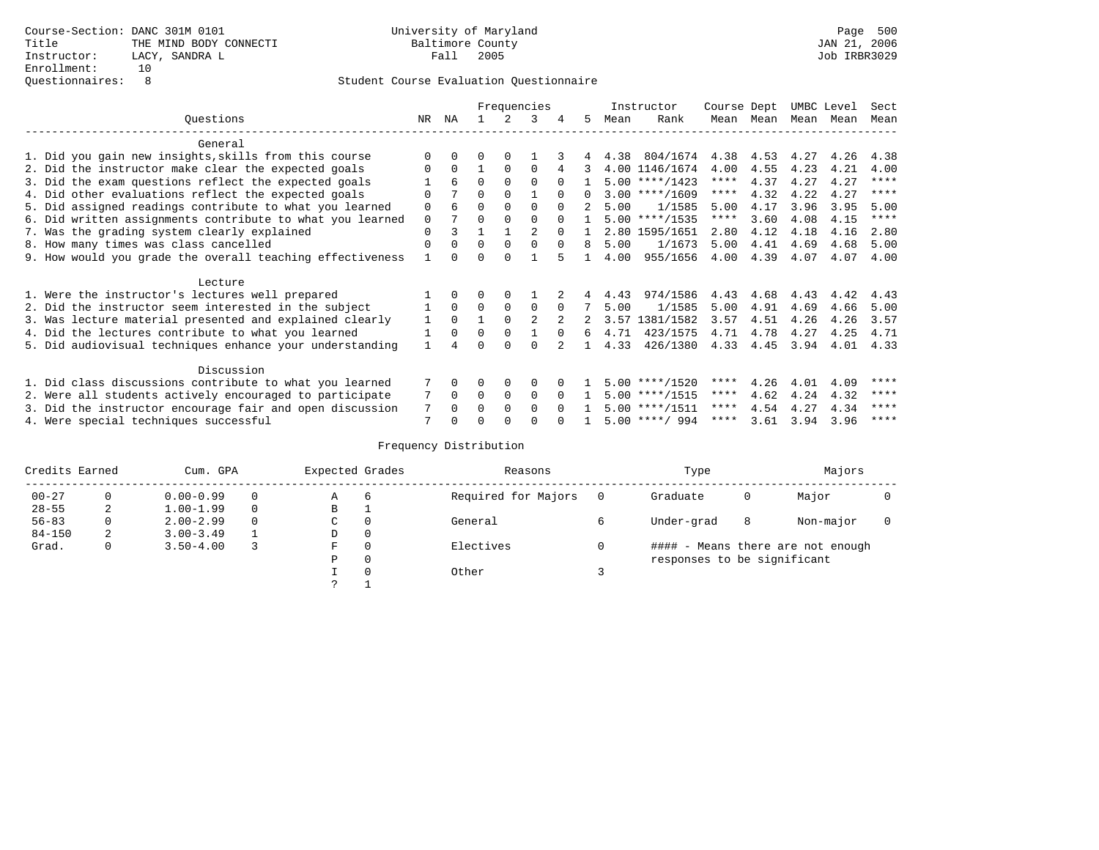|                                                           |             |              |          |             | Frequencies    |          |    |      | Instructor       | Course Dept |      | UMBC Level |      | Sect        |
|-----------------------------------------------------------|-------------|--------------|----------|-------------|----------------|----------|----|------|------------------|-------------|------|------------|------|-------------|
| Ouestions                                                 | NR          | ΝA           |          |             | 3              | 4        | 5. | Mean | Rank             | Mean        | Mean | Mean       | Mean | Mean        |
| General                                                   |             |              |          |             |                |          |    |      |                  |             |      |            |      |             |
| 1. Did you gain new insights, skills from this course     |             | $\Omega$     | O        | $\Omega$    |                |          |    | 4.38 | 804/1674         | 4.38        | 4.53 | 4.27       | 4.26 | 4.38        |
|                                                           | O           | $\Omega$     |          | $\Omega$    | $\Omega$       |          |    |      | 4.00 1146/1674   | 4.00        | 4.55 | 4.23       |      | 4.00        |
| 2. Did the instructor make clear the expected goals       |             |              |          |             |                |          |    |      |                  |             |      |            | 4.21 | $***$ * * * |
| 3. Did the exam questions reflect the expected goals      |             | 6            | $\Omega$ | $\Omega$    | $\Omega$       | $\Omega$ |    |      | $5.00$ ****/1423 | ****        | 4.37 | 4.27       | 4.27 |             |
| 4. Did other evaluations reflect the expected goals       | $\Omega$    |              | $\Omega$ | $\Omega$    |                |          |    |      | $3.00$ ****/1609 | $***$ * *   | 4.32 | 4.22       | 4.27 | $* * * * *$ |
| 5. Did assigned readings contribute to what you learned   | $\mathbf 0$ | 6            | 0        | $\Omega$    | $\Omega$       | $\Omega$ | 2  | 5.00 | 1/1585           | 5.00        | 4.17 | 3.96       | 3.95 | 5.00        |
| 6. Did written assignments contribute to what you learned | $\mathbf 0$ |              | $\Omega$ |             | $\Omega$       | $\Omega$ |    |      | $5.00$ ****/1535 | $***$ * *   | 3.60 | 4.08       | 4.15 | ****        |
| 7. Was the grading system clearly explained               | $\Omega$    |              |          |             |                |          |    |      | 2.80 1595/1651   | 2.80        | 4.12 | 4.18       | 4.16 | 2.80        |
| 8. How many times was class cancelled                     | $\Omega$    | $\Omega$     | $\Omega$ | $\Omega$    | $\Omega$       | $\Omega$ | 8  | 5.00 | 1/1673           | 5.00        | 4.41 | 4.69       | 4.68 | 5.00        |
| 9. How would you grade the overall teaching effectiveness |             | <sup>n</sup> | U        | ∩           |                |          |    | 4.00 | 955/1656         | 4.00        | 4.39 | 4.07       | 4.07 | 4.00        |
| Lecture                                                   |             |              |          |             |                |          |    |      |                  |             |      |            |      |             |
| 1. Were the instructor's lectures well prepared           |             |              |          | $\Omega$    |                |          |    | 4.43 | 974/1586         | 4.43        | 4.68 | 4.43       | 4.42 | 4.43        |
|                                                           |             | $\Omega$     | $\Omega$ |             |                |          |    |      | 1/1585           | 5.00        | 4.91 | 4.69       |      |             |
| 2. Did the instructor seem interested in the subject      |             |              |          | $\mathbf 0$ | $\mathbf 0$    | $\Omega$ |    | 5.00 |                  |             |      |            | 4.66 | 5.00        |
| 3. Was lecture material presented and explained clearly   | 1           | $\Omega$     |          | $\Omega$    | $\mathfrak{D}$ |          |    | 3.57 | 1381/1582        | 3.57        | 4.51 | 4.26       | 4.26 | 3.57        |
| 4. Did the lectures contribute to what you learned        |             | $\Omega$     | $\Omega$ | $\Omega$    |                | $\cap$   | б. | 4.71 | 423/1575         | 4.71        | 4.78 | 4.27       | 4.25 | 4.71        |
| 5. Did audiovisual techniques enhance your understanding  |             |              |          | ∩           | $\cap$         |          |    | 4.33 | 426/1380         | 4.33        | 4.45 | 3.94       | 4.01 | 4.33        |
| Discussion                                                |             |              |          |             |                |          |    |      |                  |             |      |            |      |             |
| 1. Did class discussions contribute to what you learned   |             | $\Omega$     | O        | $\Omega$    | $\Omega$       |          |    |      | $5.00$ ****/1520 | ****        | 4.26 | 4.01       | 4.09 | ****        |
| 2. Were all students actively encouraged to participate   |             | $\Omega$     | $\Omega$ | $\Omega$    | $\Omega$       | $\Omega$ |    |      | $5.00$ ****/1515 | $***$ * *   | 4.62 | 4.24       | 4.32 | ****        |
| 3. Did the instructor encourage fair and open discussion  | 7           | $\Omega$     | 0        | $\Omega$    | $\Omega$       | $\Omega$ |    |      | $5.00$ ****/1511 | ****        | 4.54 | 4.27       | 4.34 | ****        |
| 4. Were special techniques successful                     | 7           |              |          |             |                |          |    |      | $5.00$ ****/ 994 | ****        | 3.61 | 3.94       | 3.96 | ****        |

| Credits Earned |   | Cum. GPA      | Expected Grades |          | Reasons             | Type                        |   | Majors                            |  |
|----------------|---|---------------|-----------------|----------|---------------------|-----------------------------|---|-----------------------------------|--|
| $00 - 27$      | 0 | $0.00 - 0.99$ | Α               | -6       | Required for Majors | Graduate                    | 0 | Major                             |  |
| $28 - 55$      | 2 | $1.00 - 1.99$ | B               | <b>.</b> |                     |                             |   |                                   |  |
| $56 - 83$      | 0 | $2.00 - 2.99$ | C               | 0        | General             | Under-grad                  | 8 | Non-major                         |  |
| $84 - 150$     | 2 | $3.00 - 3.49$ | D               | 0        |                     |                             |   |                                   |  |
| Grad.          | 0 | $3.50 - 4.00$ | F               | 0        | Electives           |                             |   | #### - Means there are not enough |  |
|                |   |               | Ρ               | 0        |                     | responses to be significant |   |                                   |  |
|                |   |               |                 | $\Omega$ | Other               |                             |   |                                   |  |
|                |   |               | っ               |          |                     |                             |   |                                   |  |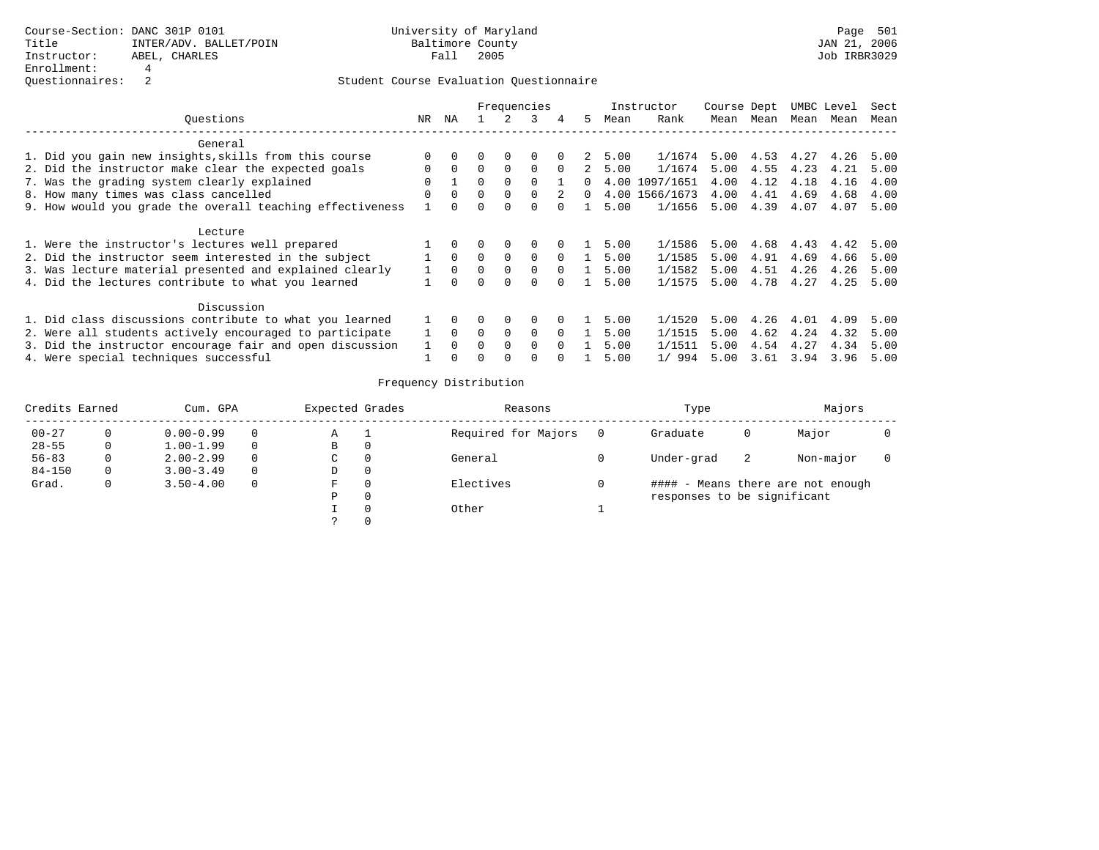|                                                           |          |          | Frequencies  |          |              |          |          |      | Instructor     | Course Dept |      | UMBC Level |      | Sect |
|-----------------------------------------------------------|----------|----------|--------------|----------|--------------|----------|----------|------|----------------|-------------|------|------------|------|------|
| Ouestions                                                 | NR       | ΝA       |              |          | 3            | 4        | 5.       | Mean | Rank           | Mean        | Mean | Mean       | Mean | Mean |
| General                                                   |          |          |              |          |              |          |          |      |                |             |      |            |      |      |
| 1. Did you gain new insights, skills from this course     |          | $\Omega$ |              | $\Omega$ | 0            |          | 2        | 5.00 | 1/1674         | 5.00        | 4.53 | 4.27       | 4.26 | 5.00 |
| 2. Did the instructor make clear the expected goals       | $\Omega$ | $\Omega$ | $\Omega$     | $\Omega$ | $\Omega$     | $\Omega$ | 2        | 5.00 | 1/1674         | 5.00        | 4.55 | 4.23       | 4.21 | 5.00 |
| 7. Was the grading system clearly explained               | 0        |          |              | $\Omega$ |              |          |          |      | 4.00 1097/1651 | 4.00        | 4.12 | 4.18       | 4.16 | 4.00 |
| 8. How many times was class cancelled                     | $\Omega$ | $\Omega$ | $\cap$       | $\Omega$ | $\Omega$     | 2        | $\Omega$ |      | 4.00 1566/1673 | 4.00        | 4.41 | 4.69       | 4.68 | 4.00 |
| 9. How would you grade the overall teaching effectiveness |          |          |              | $\Omega$ |              |          |          | 5.00 | 1/1656         | 5.00        | 4.39 | 4.07       | 4.07 | 5.00 |
| Lecture                                                   |          |          |              |          |              |          |          |      |                |             |      |            |      |      |
| 1. Were the instructor's lectures well prepared           |          |          |              | $\Omega$ | $\Omega$     | $\Omega$ |          | 5.00 | 1/1586         | 5.00        | 4.68 | 4.43       | 4.42 | 5.00 |
| 2. Did the instructor seem interested in the subject      |          | $\Omega$ | $\Omega$     | $\Omega$ | $\Omega$     | $\Omega$ |          | 5.00 | 1/1585         | 5.00        | 4.91 | 4.69       | 4.66 | 5.00 |
| 3. Was lecture material presented and explained clearly   |          | $\Omega$ | 0            | 0        | $\Omega$     | $\Omega$ |          | 5.00 | 1/1582         | 5.00        | 4.51 | 4.26       | 4.26 | 5.00 |
| 4. Did the lectures contribute to what you learned        |          | $\Omega$ | <sup>n</sup> | $\Omega$ | 0            | $\Omega$ |          | 5.00 | 1/1575         | 5.00        | 4.78 | 4.27       | 4.25 | 5.00 |
| Discussion                                                |          |          |              |          |              |          |          |      |                |             |      |            |      |      |
| 1. Did class discussions contribute to what you learned   |          | 0        |              | 0        | 0            |          |          | 5.00 | 1/1520         | 5.00        | 4.26 | 4.01       | 4.09 | 5.00 |
| 2. Were all students actively encouraged to participate   |          | $\Omega$ | $\Omega$     | $\Omega$ | $\Omega$     | $\Omega$ |          | 5.00 | 1/1515         | 5.00        | 4.62 | 4.24       | 4.32 | 5.00 |
| 3. Did the instructor encourage fair and open discussion  |          | $\Omega$ |              | $\Omega$ | $\Omega$     | $\Omega$ |          | 5.00 | 1/1511         | 5.00        | 4.54 | 4.27       | 4.34 | 5.00 |
| 4. Were special techniques successful                     |          | $\Omega$ |              | $\Omega$ | <sup>0</sup> | $\Omega$ |          | 5.00 | 1/994          | 5.00        | 3.61 | 3.94       | 3.96 | 5.00 |

| Credits Earned |   | Cum. GPA      |   | Expected Grades |          | Reasons             | Type                        |    | Majors                            |  |
|----------------|---|---------------|---|-----------------|----------|---------------------|-----------------------------|----|-----------------------------------|--|
| $00 - 27$      |   | $0.00 - 0.99$ |   | Α               |          | Required for Majors | Graduate                    | U  | Major                             |  |
| $28 - 55$      | 0 | $1.00 - 1.99$ |   | B               | 0        |                     |                             |    |                                   |  |
| $56 - 83$      | 0 | $2.00 - 2.99$ |   | C               | 0        | General             | Under-grad                  | -2 | Non-major                         |  |
| $84 - 150$     |   | $3.00 - 3.49$ |   | D               | 0        |                     |                             |    |                                   |  |
| Grad.          | 0 | $3.50 - 4.00$ | 0 | F               | $\Omega$ | Electives           |                             |    | #### - Means there are not enough |  |
|                |   |               |   | Ρ               | 0        |                     | responses to be significant |    |                                   |  |
|                |   |               |   |                 | $\Omega$ | Other               |                             |    |                                   |  |
|                |   |               |   |                 |          |                     |                             |    |                                   |  |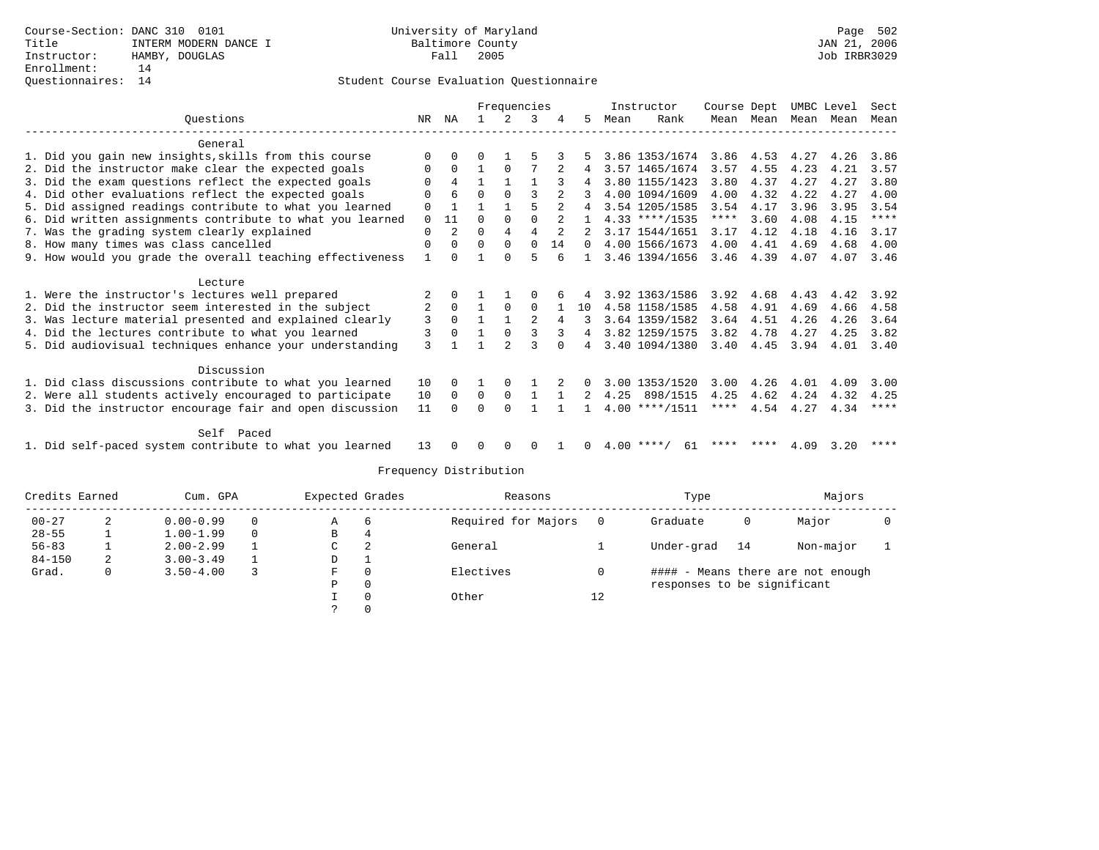## Questionnaires: 14 Student Course Evaluation Questionnaire

|                                                           |              |              |              | Frequencies  |          |                |          |      | Instructor       | Course Dept |           | UMBC Level |      | Sect        |
|-----------------------------------------------------------|--------------|--------------|--------------|--------------|----------|----------------|----------|------|------------------|-------------|-----------|------------|------|-------------|
| Ouestions                                                 | NR           | ΝA           |              |              | ર        |                | 5        | Mean | Rank             |             | Mean Mean | Mean       | Mean | Mean        |
| General                                                   |              |              |              |              |          |                |          |      |                  |             |           |            |      |             |
| 1. Did you gain new insights, skills from this course     | <sup>0</sup> |              |              |              |          |                |          |      | 3.86 1353/1674   | 3.86        | 4.53      | 4.27       | 4.26 | 3.86        |
| 2. Did the instructor make clear the expected goals       | 0            | $\Omega$     |              | $\Omega$     |          |                | 4        |      | 3.57 1465/1674   | 3.57        | 4.55      | 4.23       | 4.21 | 3.57        |
| 3. Did the exam questions reflect the expected goals      | 0            | 4            | $\mathbf{1}$ |              |          |                | 4        |      | 3.80 1155/1423   | 3.80        | 4.37      | 4.27       | 4.27 | 3.80        |
| 4. Did other evaluations reflect the expected goals       |              | 6            | 0            | $\Omega$     | ζ        | $\overline{a}$ |          |      | 4.00 1094/1609   | 4.00        | 4.32      | 4.22       | 4.27 | 4.00        |
| 5. Did assigned readings contribute to what you learned   | 0            |              |              |              | 5        |                |          |      | 3.54 1205/1585   | 3.54        | 4.17      | 3.96       | 3.95 | 3.54        |
| 6. Did written assignments contribute to what you learned | 0            | 11           | 0            | $\Omega$     | $\Omega$ |                |          |      | $4.33$ ****/1535 | ****        | 3.60      | 4.08       | 4.15 | $***$ * * * |
| 7. Was the grading system clearly explained               | 0            | 2            | 0            | 4            | 4        | 2              |          |      | 3.17 1544/1651   | 3.17        | 4.12      | 4.18       | 4.16 | 3.17        |
| 8. How many times was class cancelled                     | 0            | $\Omega$     | $\Omega$     | $\Omega$     | $\Omega$ | 14             |          |      | 4.00 1566/1673   | 4.00        | 4.41      | 4.69       | 4.68 | 4.00        |
| 9. How would you grade the overall teaching effectiveness |              | <sup>0</sup> |              | <sup>n</sup> | 5        |                |          |      | 3.46 1394/1656   | 3.46        | 4.39      | 4.07       | 4.07 | 3.46        |
|                                                           |              |              |              |              |          |                |          |      |                  |             |           |            |      |             |
| Lecture                                                   |              |              |              |              |          |                |          |      |                  |             |           |            |      |             |
| 1. Were the instructor's lectures well prepared           |              | $\Omega$     |              |              |          |                |          |      | 3.92 1363/1586   | 3.92        | 4.68      | 4.43       | 4.42 | 3.92        |
| 2. Did the instructor seem interested in the subject      | 2            | $\mathbf 0$  |              | $\Omega$     | 0        |                | 10       |      | 4.58 1158/1585   | 4.58        | 4.91      | 4.69       | 4.66 | 4.58        |
| 3. Was lecture material presented and explained clearly   | 3            | $\Omega$     |              |              |          | 4              |          |      | 3.64 1359/1582   | 3.64        | 4.51      | 4.26       | 4.26 | 3.64        |
| 4. Did the lectures contribute to what you learned        | 3            | $\Omega$     |              | $\Omega$     |          |                | 4        |      | 3.82 1259/1575   | 3.82        | 4.78      | 4.27       | 4.25 | 3.82        |
| 5. Did audiovisual techniques enhance your understanding  | 3            |              |              |              |          |                |          |      | 3.40 1094/1380   | 3.40        | 4.45      | 3.94       | 4.01 | 3.40        |
| Discussion                                                |              |              |              |              |          |                |          |      |                  |             |           |            |      |             |
| 1. Did class discussions contribute to what you learned   | 10           |              |              | $\Omega$     |          |                | $\Omega$ |      | 3.00 1353/1520   | 3.00        | 4.26      | 4.01       | 4.09 | 3.00        |
| 2. Were all students actively encouraged to participate   | 10           | $\Omega$     | $\Omega$     | $\Omega$     |          |                | 2        | 4.25 | 898/1515         | 4.25        | 4.62      | 4.24       | 4.32 | 4.25        |
| 3. Did the instructor encourage fair and open discussion  | 11           |              | U            | $\Omega$     |          |                |          |      | $4.00$ ****/1511 | ****        | 4.54      | 4.27       | 4.34 | $***$ * * * |
|                                                           |              |              |              |              |          |                |          |      |                  |             |           |            |      |             |
| Self Paced                                                |              |              |              |              |          |                |          |      |                  |             |           |            |      |             |
| 1. Did self-paced system contribute to what you learned   | 13           |              |              |              |          |                |          | 4.00 | **** ,<br>61     |             |           | 4.09       | 3.20 | * * * *     |

| Credits Earned |   | Cum. GPA      |          | Expected Grades |          | Reasons             |     | Type                        |    | Majors                            |  |
|----------------|---|---------------|----------|-----------------|----------|---------------------|-----|-----------------------------|----|-----------------------------------|--|
| $00 - 27$      | 2 | $0.00 - 0.99$ | $\Omega$ | A               | 6        | Required for Majors | - 0 | Graduate                    | 0  | Major                             |  |
| $28 - 55$      |   | $1.00 - 1.99$ | $\Omega$ | В               | 4        |                     |     |                             |    |                                   |  |
| $56 - 83$      |   | $2.00 - 2.99$ |          | C               | 2        | General             |     | Under-grad                  | 14 | Non-major                         |  |
| $84 - 150$     | 2 | $3.00 - 3.49$ |          | D               |          |                     |     |                             |    |                                   |  |
| Grad.          | 0 | $3.50 - 4.00$ |          | F               | $\Omega$ | Electives           | 0   |                             |    | #### - Means there are not enough |  |
|                |   |               |          | Ρ               | $\Omega$ |                     |     | responses to be significant |    |                                   |  |
|                |   |               |          |                 | $\Omega$ | Other               | 12  |                             |    |                                   |  |
|                |   |               |          |                 |          |                     |     |                             |    |                                   |  |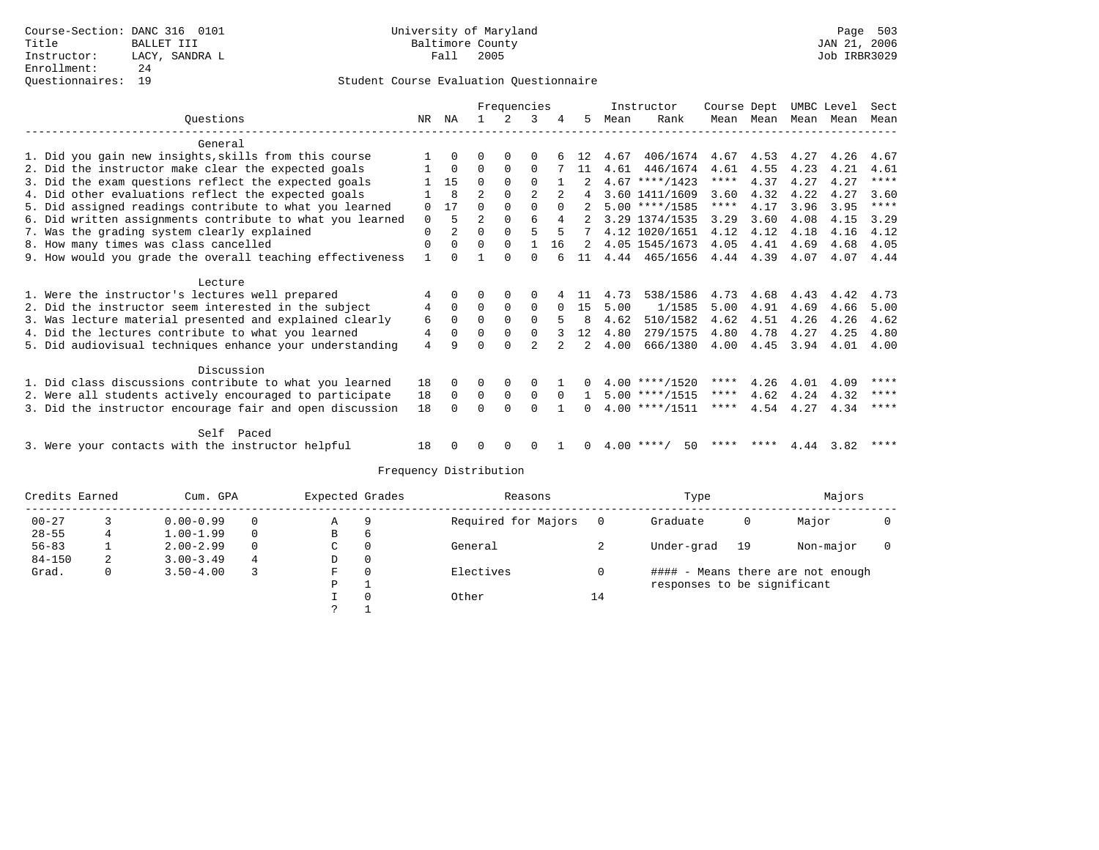|                                                           |              | Frequencies    |                |              |                |               | Instructor    | Course Dept |                  | UMBC Level  |      | Sect |      |             |
|-----------------------------------------------------------|--------------|----------------|----------------|--------------|----------------|---------------|---------------|-------------|------------------|-------------|------|------|------|-------------|
| Ouestions                                                 | NR.          | ΝA             |                | 2            |                |               | 5.            | Mean        | Rank             | Mean        | Mean | Mean | Mean | Mean        |
| General                                                   |              |                |                |              |                |               |               |             |                  |             |      |      |      |             |
| 1. Did you gain new insights, skills from this course     |              | $\Omega$       | O              | $\Omega$     | $\Omega$       |               |               | 4.67        | 406/1674         | 4.67        | 4.53 | 4.27 | 4.26 | 4.67        |
| 2. Did the instructor make clear the expected goals       |              | $\Omega$       | $\Omega$       | $\Omega$     | $\Omega$       |               | 11            | 4.61        | 446/1674         | 4.61        | 4.55 | 4.23 | 4.21 | 4.61        |
| 3. Did the exam questions reflect the expected goals      |              | 15             | $\Omega$       | $\Omega$     | $\Omega$       |               |               |             | $4.67$ ****/1423 | ****        | 4.37 | 4.27 | 4.27 | $***$ * * * |
| 4. Did other evaluations reflect the expected goals       |              | 8              | $\overline{2}$ | $\Omega$     | $\mathfrak{D}$ |               |               |             | 3.60 1411/1609   | 3.60        | 4.32 | 4.22 | 4.27 | 3.60        |
| 5. Did assigned readings contribute to what you learned   | $\Omega$     | 17             | $\Omega$       | $\Omega$     | $\Omega$       | $\Omega$      |               |             | $5.00$ ****/1585 | $***$ * * * | 4.17 | 3.96 | 3.95 | $***$ * * * |
| 6. Did written assignments contribute to what you learned | $\mathbf 0$  | 5              | $\overline{a}$ | $\Omega$     | $\epsilon$     | 4             |               |             | 3.29 1374/1535   | 3.29        | 3.60 | 4.08 | 4.15 | 3.29        |
| 7. Was the grading system clearly explained               | $\mathbf 0$  | $\overline{a}$ | $\Omega$       | $\Omega$     | 5              | 5             |               |             | 4.12 1020/1651   | 4.12        | 4.12 | 4.18 | 4.16 | 4.12        |
| 8. How many times was class cancelled                     | $\mathbf 0$  | $\Omega$       | $\Omega$       | $\Omega$     |                | 16            |               |             | 4.05 1545/1673   | 4.05        | 4.41 | 4.69 | 4.68 | 4.05        |
| 9. How would you grade the overall teaching effectiveness | $\mathbf{1}$ | $\Omega$       |                | $\cap$       | $\cap$         |               | 11            |             | 4.44 465/1656    | 4.44        | 4.39 | 4.07 | 4.07 | 4.44        |
|                                                           |              |                |                |              |                |               |               |             |                  |             |      |      |      |             |
| Lecture                                                   |              |                |                |              |                |               |               |             |                  |             |      |      |      |             |
| 1. Were the instructor's lectures well prepared           | 4            | $\Omega$       | $\Omega$       | $\Omega$     | $\Omega$       |               | -11           | 4.73        | 538/1586         | 4.73        | 4.68 | 4.43 | 4.42 | 4.73        |
| 2. Did the instructor seem interested in the subject      | 4            | $\Omega$       | $\Omega$       | $\Omega$     | $\Omega$       |               | 15            | 5.00        | 1/1585           | 5.00        | 4.91 | 4.69 | 4.66 | 5.00        |
| 3. Was lecture material presented and explained clearly   | 6            | $\Omega$       | $\Omega$       | $\Omega$     | $\Omega$       |               | 8             | 4.62        | 510/1582         | 4.62        | 4.51 | 4.26 | 4.26 | 4.62        |
| 4. Did the lectures contribute to what you learned        | 4            | $\Omega$       | $\Omega$       | $\Omega$     | $\Omega$       |               | 12            | 4.80        | 279/1575         | 4.80        | 4.78 | 4.27 | 4.25 | 4.80        |
| 5. Did audiovisual techniques enhance your understanding  | 4            | q              | ∩              | $\cap$       | $\mathcal{D}$  | $\mathcal{L}$ | $\mathcal{L}$ | 4.00        | 666/1380         | 4.00        | 4.45 | 3.94 | 4.01 | 4.00        |
| Discussion                                                |              |                |                |              |                |               |               |             |                  |             |      |      |      |             |
| 1. Did class discussions contribute to what you learned   | 18           | $\Omega$       | $\Omega$       | $\Omega$     | $\Omega$       |               |               |             | $4.00$ ****/1520 | ****        | 4.26 | 4.01 | 4.09 | ****        |
| 2. Were all students actively encouraged to participate   | 18           | $\Omega$       | $\Omega$       | $\Omega$     | $\Omega$       | $\Omega$      | $\mathbf{1}$  |             | $5.00$ ****/1515 | ****        | 4.62 | 4.24 | 4.32 | ****        |
| 3. Did the instructor encourage fair and open discussion  | 18           | $\cap$         | $\Omega$       | $\cap$       | $\cap$         |               |               |             | $4.00$ ****/1511 | $***$ * *   | 4.54 | 4.27 | 4.34 | ****        |
|                                                           |              |                |                |              |                |               |               |             |                  |             |      |      |      |             |
| Self Paced                                                |              |                |                |              |                |               |               |             |                  |             |      |      |      |             |
| 3. Were your contacts with the instructor helpful         | 18           |                | 0              | <sup>0</sup> | <sup>0</sup>   |               | 0             | 4.00        | ****<br>50       |             |      | 4.44 | 3.82 | ****        |

| Credits Earned |   | Cum. GPA      |          | Expected Grades |          | Reasons             |    | Type                        |    | Majors                            |  |
|----------------|---|---------------|----------|-----------------|----------|---------------------|----|-----------------------------|----|-----------------------------------|--|
| $00 - 27$      |   | $0.00 - 0.99$ | $\Omega$ | A               | 9        | Required for Majors |    | Graduate                    | 0  | Major                             |  |
| $28 - 55$      | 4 | $1.00 - 1.99$ | $\Omega$ | В               | b        |                     |    |                             |    |                                   |  |
| $56 - 83$      |   | $2.00 - 2.99$ | $\Omega$ | C               | $\Omega$ | General             |    | Under-grad                  | 19 | Non-major                         |  |
| $84 - 150$     | 2 | $3.00 - 3.49$ | 4        | D               | 0        |                     |    |                             |    |                                   |  |
| Grad.          | 0 | $3.50 - 4.00$ |          | F               | $\Omega$ | Electives           |    |                             |    | #### - Means there are not enough |  |
|                |   |               |          | Ρ               |          |                     |    | responses to be significant |    |                                   |  |
|                |   |               |          |                 | $\Omega$ | Other               | 14 |                             |    |                                   |  |
|                |   |               |          |                 |          |                     |    |                             |    |                                   |  |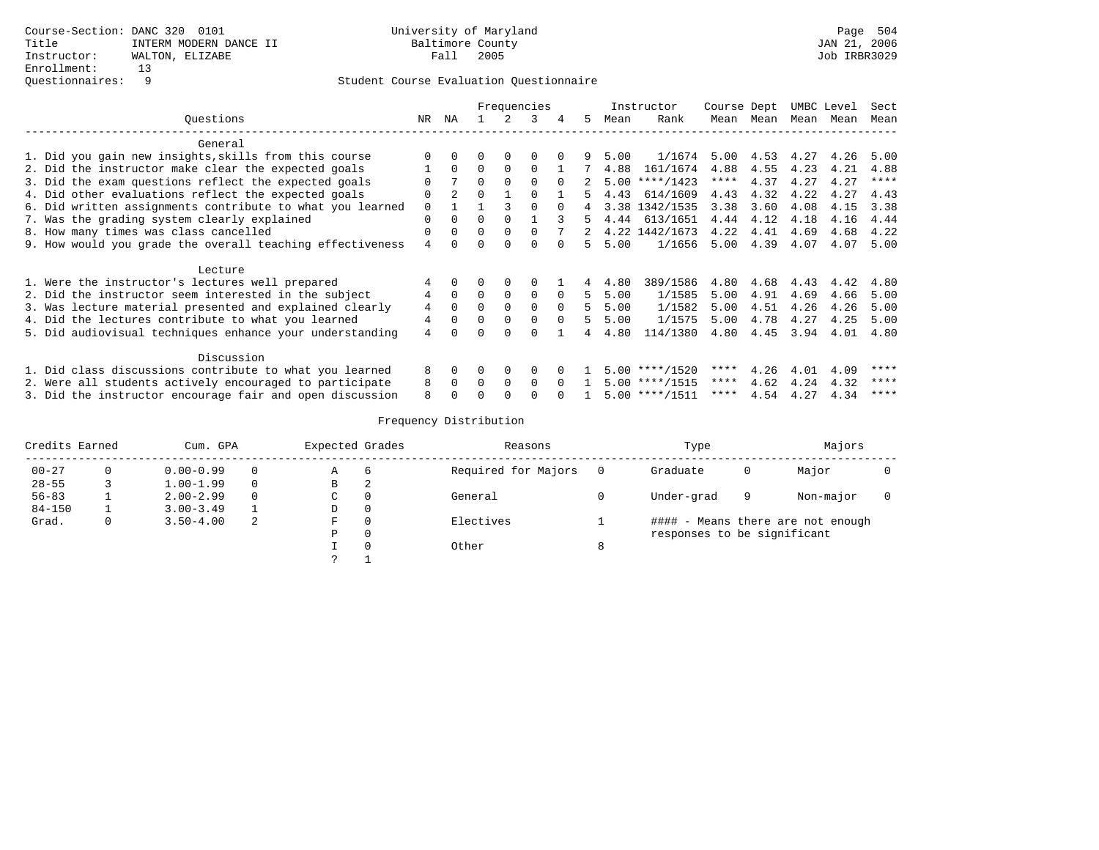|                                                           |          | Frequencies |          |          |          |          |    | Instructor | Course Dept      |             | UMBC Level |      | Sect |             |
|-----------------------------------------------------------|----------|-------------|----------|----------|----------|----------|----|------------|------------------|-------------|------------|------|------|-------------|
| Ouestions                                                 | NR       | ΝA          |          |          | ર        | 4        | 5. | Mean       | Rank             | Mean        | Mean       | Mean | Mean | Mean        |
| General                                                   |          |             |          |          |          |          |    |            |                  |             |            |      |      |             |
| 1. Did you gain new insights, skills from this course     |          |             |          |          |          |          |    | 5.00       | 1/1674           | 5.00        | 4.53       | 4.27 | 4.26 | 5.00        |
| 2. Did the instructor make clear the expected goals       |          | $\Omega$    | $\Omega$ | $\Omega$ | $\Omega$ |          |    | 4.88       | 161/1674         | 4.88        | 4.55       | 4.23 | 4.21 | 4.88        |
| 3. Did the exam questions reflect the expected goals      |          |             | $\Omega$ | $\Omega$ | $\Omega$ | $\Omega$ |    |            | $5.00$ ****/1423 | $***$ * * * | 4.37       | 4.27 | 4.27 | $***$ * * * |
| 4. Did other evaluations reflect the expected goals       | O        | $2^{\circ}$ | $\Omega$ |          | $\Omega$ |          | 5. | 4.43       | 614/1609         | 4.43        | 4.32       | 4.22 | 4.27 | 4.43        |
| 6. Did written assignments contribute to what you learned | $\Omega$ |             |          |          | $\Omega$ | $\cap$   |    |            | 3.38 1342/1535   | 3.38        | 3.60       | 4.08 | 4.15 | 3.38        |
| 7. Was the grading system clearly explained               | $\Omega$ | $\Omega$    | $\Omega$ | $\Omega$ |          |          | 5. | 4.44       | 613/1651         | 4.44        | 4.12       | 4.18 | 4.16 | 4.44        |
| 8. How many times was class cancelled                     | $\Omega$ | $\Omega$    | $\Omega$ | $\Omega$ | $\cap$   |          |    |            | 4.22 1442/1673   | 4.22        | 4.41       | 4.69 | 4.68 | 4.22        |
| 9. How would you grade the overall teaching effectiveness | 4        |             | 0        |          |          |          | 5. | 5.00       | 1/1656           | 5.00        | 4.39       | 4.07 | 4.07 | 5.00        |
| Lecture                                                   |          |             |          |          |          |          |    |            |                  |             |            |      |      |             |
| 1. Were the instructor's lectures well prepared           |          |             |          | $\Omega$ |          |          |    | 4.80       | 389/1586         | 4.80        | 4.68       | 4.43 | 4.42 | 4.80        |
| 2. Did the instructor seem interested in the subject      | 4        | $\Omega$    | $\Omega$ | $\Omega$ | 0        | $\Omega$ | 5. | 5.00       | 1/1585           | 5.00        | 4.91       | 4.69 | 4.66 | 5.00        |
| 3. Was lecture material presented and explained clearly   | 4        | $\Omega$    | $\Omega$ | $\Omega$ | $\Omega$ | $\Omega$ | 5  | 5.00       | 1/1582           | 5.00        | 4.51       | 4.26 | 4.26 | 5.00        |
| 4. Did the lectures contribute to what you learned        | 4        | $\Omega$    | $\Omega$ | $\Omega$ | $\Omega$ | $\Omega$ |    | 5.00       | 1/1575           | 5.00        | 4.78       | 4.27 | 4.25 | 5.00        |
| 5. Did audiovisual techniques enhance your understanding  | 4        |             |          |          |          |          |    | 4.80       | 114/1380         | 4.80        | 4.45       | 3.94 | 4.01 | 4.80        |
| Discussion                                                |          |             |          |          |          |          |    |            |                  |             |            |      |      |             |
| 1. Did class discussions contribute to what you learned   | 8        | $\Omega$    | 0        | $\Omega$ | $\Omega$ |          |    |            | $5.00$ ****/1520 | ****        | 4.26       | 4.01 | 4.09 | ****        |
| 2. Were all students actively encouraged to participate   | 8        | $\Omega$    | $\Omega$ | $\Omega$ | $\Omega$ | $\Omega$ |    |            | $5.00$ ****/1515 | $***$ * *   | 4.62       | 4.24 | 4.32 | ****        |
| 3. Did the instructor encourage fair and open discussion  | 8        |             |          |          |          |          |    |            | $5.00$ ****/1511 | ****        | 4.54       | 4.27 | 4.34 | ****        |

| Credits Earned |   | Cum. GPA      |          | Expected Grades |          | Reasons             |   | Type                        |   | Majors                            |  |
|----------------|---|---------------|----------|-----------------|----------|---------------------|---|-----------------------------|---|-----------------------------------|--|
| $00 - 27$      |   | $0.00 - 0.99$ |          | Α               | -6       | Required for Majors |   | Graduate                    | U | Major                             |  |
| $28 - 55$      |   | $1.00 - 1.99$ | $\Omega$ | В               | 2        |                     |   |                             |   |                                   |  |
| $56 - 83$      |   | $2.00 - 2.99$ | $\Omega$ | C.              | 0        | General             |   | Under-grad                  | 9 | Non-major                         |  |
| $84 - 150$     |   | $3.00 - 3.49$ |          | D               | 0        |                     |   |                             |   |                                   |  |
| Grad.          | 0 | $3.50 - 4.00$ | 2        | F               | $\Omega$ | Electives           |   |                             |   | #### - Means there are not enough |  |
|                |   |               |          | Ρ               | 0        |                     |   | responses to be significant |   |                                   |  |
|                |   |               |          |                 | $\Omega$ | Other               | ŏ |                             |   |                                   |  |
|                |   |               |          |                 |          |                     |   |                             |   |                                   |  |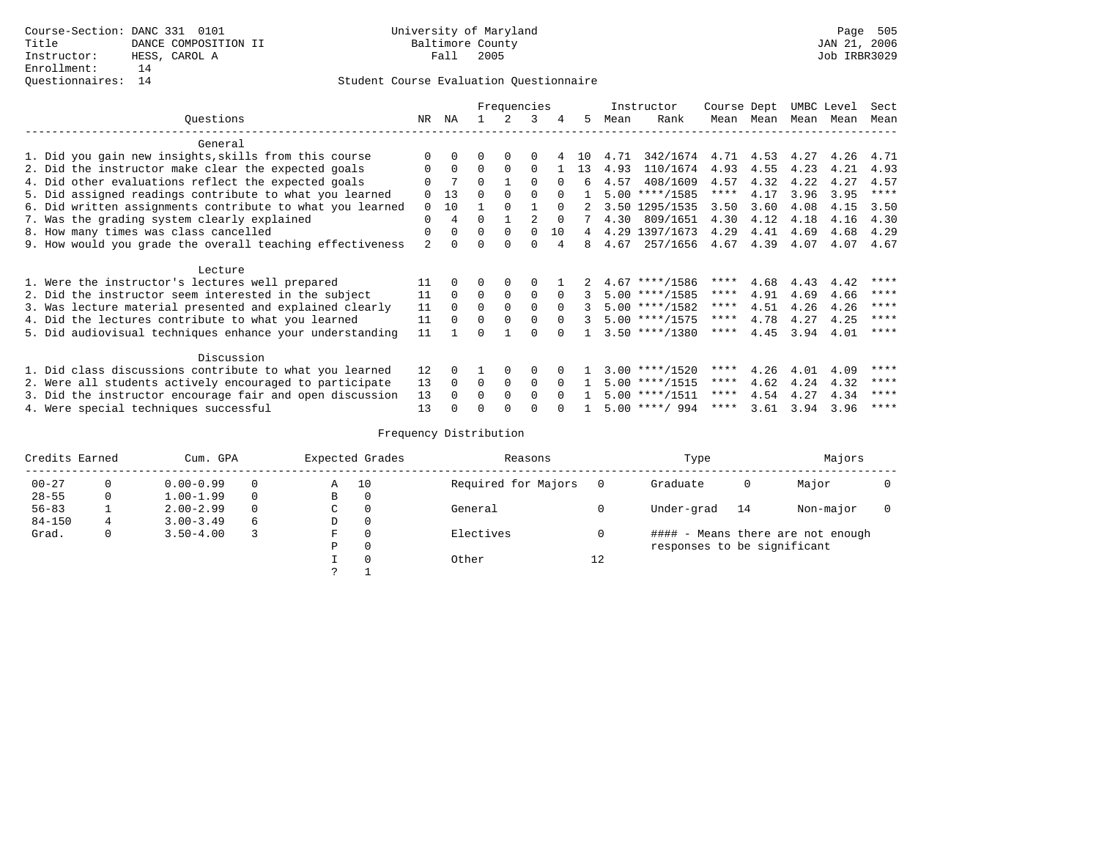|                                                           |              |          |              | Frequencies   |          |              |     |      | Instructor       | Course Dept |                | UMBC Level |      | Sect        |
|-----------------------------------------------------------|--------------|----------|--------------|---------------|----------|--------------|-----|------|------------------|-------------|----------------|------------|------|-------------|
| Questions                                                 | NR           | ΝA       |              | $\mathcal{L}$ | 3        | 4            | .5  | Mean | Rank             | Mean        | Mean           | Mean Mean  |      | Mean        |
| General                                                   |              |          |              |               |          |              |     |      |                  |             |                |            |      |             |
| 1. Did you gain new insights, skills from this course     |              |          |              |               |          |              | 1 N | 4.71 | 342/1674         |             | 4.71 4.53 4.27 |            | 4.26 | 4.71        |
| 2. Did the instructor make clear the expected goals       | $\Omega$     | 0        | $\Omega$     | $\Omega$      | $\Omega$ |              | 13  | 4.93 | 110/1674         | 4.93        | 4.55           | 4.23       | 4.21 | 4.93        |
| 4. Did other evaluations reflect the expected goals       | <sup>0</sup> |          | $\Omega$     |               | $\cap$   |              | б.  | 4.57 | 408/1609         | 4.57        | 4.32           | 4.22       | 4.27 | 4.57        |
| 5. Did assigned readings contribute to what you learned   |              | 13       | U            |               |          |              |     |      | $5.00$ ****/1585 | ****        | 4.17           | 3.96       | 3.95 | $***$ * * * |
| 6. Did written assignments contribute to what you learned | $\Omega$     | 10       |              |               |          | $\cap$       |     |      | 3.50 1295/1535   | 3.50        | 3.60           | 4.08       | 4.15 | 3.50        |
| 7. Was the grading system clearly explained               | $\Omega$     | 4        | $\Omega$     |               |          | <sup>0</sup> |     | 4.30 | 809/1651         | 4.30        | 4.12           | 4.18       | 4.16 | 4.30        |
| 8. How many times was class cancelled                     | $\Omega$     |          | $\Omega$     | $\Omega$      | $\Omega$ | 10           | 4   |      | 4.29 1397/1673   | 4.29        | 4.41           | 4.69       | 4.68 | 4.29        |
| 9. How would you grade the overall teaching effectiveness |              |          |              |               | ∩        |              |     | 4.67 | 257/1656         | 4.67        | 4.39           | 4.07       | 4.07 | 4.67        |
| Lecture                                                   |              |          |              |               |          |              |     |      |                  |             |                |            |      |             |
| 1. Were the instructor's lectures well prepared           | 11           | $\Omega$ | $\Omega$     | $\Omega$      | $\Omega$ |              |     |      | $4.67$ ****/1586 | ****        | 4.68           | 4.43       | 4.42 | ****        |
| 2. Did the instructor seem interested in the subject      | 11           | $\Omega$ | $\Omega$     | $\Omega$      | $\Omega$ |              |     |      | $5.00$ ****/1585 | ****        | 4.91           | 4.69       | 4.66 | $* * * * *$ |
| 3. Was lecture material presented and explained clearly   | 11           | $\Omega$ | $\Omega$     | $\Omega$      | $\Omega$ | $\Omega$     |     |      | $5.00$ ****/1582 | ****        | 4.51           | 4.26       | 4.26 | ****        |
| 4. Did the lectures contribute to what you learned        | 11           | $\Omega$ | <sup>0</sup> | 0             |          | n.           |     |      | $5.00$ ****/1575 | ****        | 4.78           | 4.27       | 4.25 | ****        |
| 5. Did audiovisual techniques enhance your understanding  | 11           |          | U            |               | ∩        |              |     |      | $3.50$ ****/1380 | ****        | 4.45           | 3.94       | 4.01 | ****        |
| Discussion                                                |              |          |              |               |          |              |     |      |                  |             |                |            |      |             |
| 1. Did class discussions contribute to what you learned   | 12           | 0        |              | $\Omega$      | $\Omega$ |              |     |      | $3.00$ ****/1520 | ****        | 4.26           | 4.01       | 4.09 | ****        |
| 2. Were all students actively encouraged to participate   | 13           | $\Omega$ | $\Omega$     | $\Omega$      | $\Omega$ | $\Omega$     |     |      | $5.00$ ****/1515 | ****        | 4.62           | 4.24       | 4.32 | ****        |
| 3. Did the instructor encourage fair and open discussion  | 13           |          | O            | $\Omega$      | $\Omega$ | <sup>n</sup> |     |      | $5.00$ ****/1511 | ****        | 4.54           | 4.27       | 4.34 | ****        |
| 4. Were special techniques successful                     | 13           |          | O            | ∩             | ∩        |              |     |      | $5.00$ ****/ 994 | ****        | 3.61           | 3.94       | 3.96 | ****        |

| Credits Earned |          | Cum. GPA      |          |   | Expected Grades | Reasons             |    | Type                        |    | Majors                            |  |
|----------------|----------|---------------|----------|---|-----------------|---------------------|----|-----------------------------|----|-----------------------------------|--|
| $00 - 27$      | $\Omega$ | $0.00 - 0.99$ | $\Omega$ | Α | 10              | Required for Majors |    | Graduate                    | 0  | Major                             |  |
| $28 - 55$      | 0        | $1.00 - 1.99$ | $\Omega$ | B | 0               |                     |    |                             |    |                                   |  |
| $56 - 83$      |          | $2.00 - 2.99$ | $\Omega$ | C | $\Omega$        | General             |    | Under-grad                  | 14 | Non-major                         |  |
| $84 - 150$     | 4        | $3.00 - 3.49$ | 6        | D | 0               |                     |    |                             |    |                                   |  |
| Grad.          | 0        | $3.50 - 4.00$ |          | F | $\Omega$        | Electives           |    |                             |    | #### - Means there are not enough |  |
|                |          |               |          | P | $\Omega$        |                     |    | responses to be significant |    |                                   |  |
|                |          |               |          |   | $\Omega$        | Other               | 12 |                             |    |                                   |  |
|                |          |               |          |   |                 |                     |    |                             |    |                                   |  |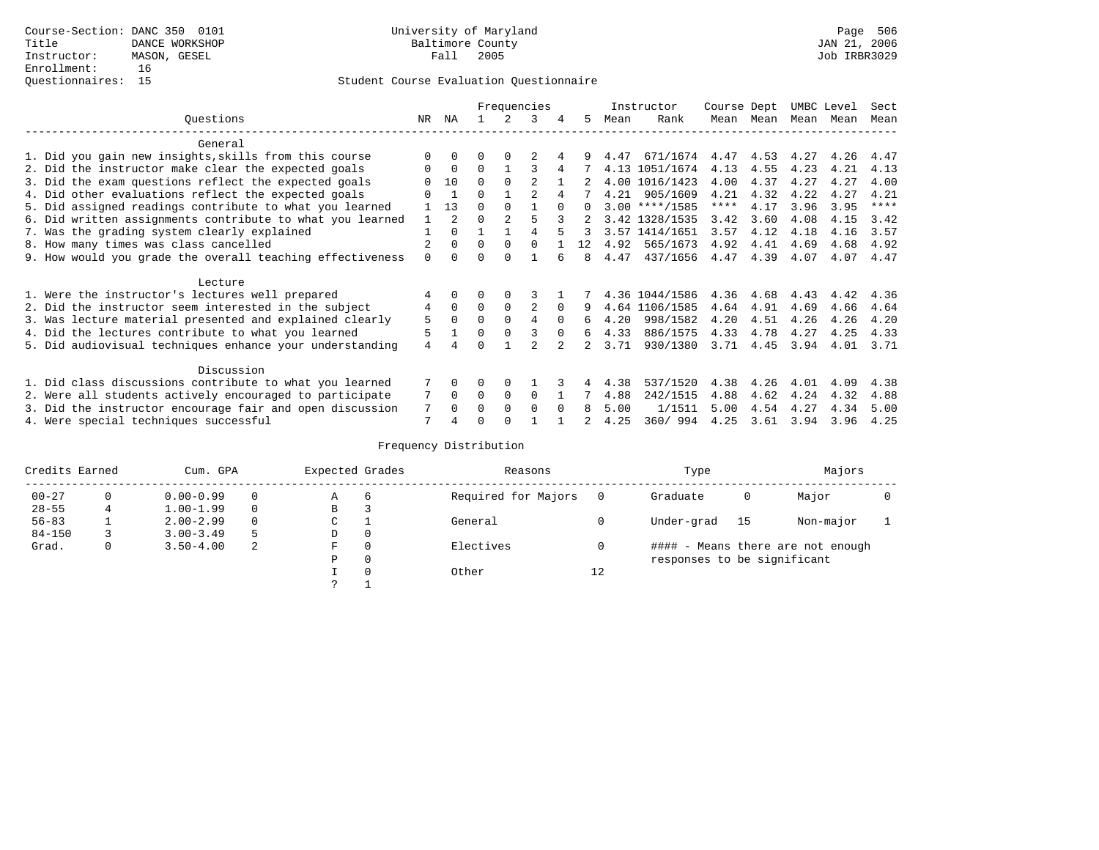|                                                           |          |               |          |             | Frequencies    |          |          |      | Instructor       | Course Dept |           | UMBC Level |      | Sect |
|-----------------------------------------------------------|----------|---------------|----------|-------------|----------------|----------|----------|------|------------------|-------------|-----------|------------|------|------|
| Ouestions                                                 | NR.      | ΝA            |          |             | 3              | 4        | 5.       | Mean | Rank             |             | Mean Mean | Mean       | Mean | Mean |
| General                                                   |          |               |          |             |                |          |          |      |                  |             |           |            |      |      |
| 1. Did you gain new insights, skills from this course     |          | $\Omega$      | 0        | $\Omega$    |                |          |          | 4.47 | 671/1674         | 4.47        | 4.53      | 4.27       | 4.26 | 4.47 |
| 2. Did the instructor make clear the expected goals       | 0        | $\Omega$      | $\Omega$ |             |                |          |          |      | 4.13 1051/1674   | 4.13        | 4.55      | 4.23       | 4.21 | 4.13 |
| 3. Did the exam questions reflect the expected goals      |          | 10            | $\Omega$ | $\Omega$    |                |          |          |      | 4.00 1016/1423   | 4.00        | 4.37      | 4.27       | 4.27 | 4.00 |
| 4. Did other evaluations reflect the expected goals       | U        |               | $\Omega$ |             |                |          |          | 4.21 | 905/1609         | 4.21        | 4.32      | 4.22       | 4.27 | 4.21 |
| 5. Did assigned readings contribute to what you learned   |          | 13            | $\Omega$ | $\Omega$    |                | $\Omega$ | $\Omega$ |      | $3.00$ ****/1585 | ****        | 4.17      | 3.96       | 3.95 | **** |
| 6. Did written assignments contribute to what you learned | 1        | $\mathcal{L}$ | $\Omega$ |             |                |          |          |      | 3.42 1328/1535   | 3.42        | 3.60      | 4.08       | 4.15 | 3.42 |
| 7. Was the grading system clearly explained               |          | $\Omega$      |          |             | 4              |          |          |      | 3.57 1414/1651   | 3.57        | 4.12      | 4.18       | 4.16 | 3.57 |
| 8. How many times was class cancelled                     |          | $\Omega$      | $\Omega$ | $\Omega$    | $\Omega$       |          | 12       | 4.92 | 565/1673         | 4.92        | 4.41      | 4.69       | 4.68 | 4.92 |
| 9. How would you grade the overall teaching effectiveness | $\Omega$ | $\cap$        | ∩        | ∩           |                |          | 8        | 4.47 | 437/1656         | 4.47        | 4.39      | 4.07       | 4.07 | 4.47 |
| Lecture                                                   |          |               |          |             |                |          |          |      |                  |             |           |            |      |      |
| 1. Were the instructor's lectures well prepared           |          |               |          | $\Omega$    |                |          |          |      | 4.36 1044/1586   | 4.36        | 4.68      | 4.43       | 4.42 | 4.36 |
| 2. Did the instructor seem interested in the subject      | 4        | $\Omega$      | $\Omega$ | $\Omega$    | $\overline{c}$ | $\Omega$ |          |      | 4.64 1106/1585   | 4.64        | 4.91      | 4.69       | 4.66 | 4.64 |
| 3. Was lecture material presented and explained clearly   | 5        | $\Omega$      | $\Omega$ | $\Omega$    | 4              | $\Omega$ | 6        | 4.20 | 998/1582         | 4.20        | 4.51      | 4.26       | 4.26 | 4.20 |
| 4. Did the lectures contribute to what you learned        | 5        |               | $\Omega$ | $\Omega$    |                | $\Omega$ | 6        | 4.33 | 886/1575         | 4.33        | 4.78      | 4.27       | 4.25 | 4.33 |
| 5. Did audiovisual techniques enhance your understanding  | 4        |               | ∩        |             |                |          |          | 3.71 | 930/1380         | 3.71        | 4.45      | 3.94       | 4.01 | 3.71 |
| Discussion                                                |          |               |          |             |                |          |          |      |                  |             |           |            |      |      |
| 1. Did class discussions contribute to what you learned   |          | $\Omega$      | 0        | $\Omega$    |                |          |          | 4.38 | 537/1520         | 4.38        | 4.26      | 4.01       | 4.09 | 4.38 |
| 2. Were all students actively encouraged to participate   |          | $\Omega$      | $\Omega$ | $\mathbf 0$ | $\Omega$       |          |          | 4.88 | 242/1515         | 4.88        | 4.62      | 4.24       | 4.32 | 4.88 |
| 3. Did the instructor encourage fair and open discussion  | 7        | $\Omega$      | 0        | $\Omega$    | $\Omega$       | $\Omega$ | 8        | 5.00 | 1/1511           | 5.00        | 4.54      | 4.27       | 4.34 | 5.00 |
| 4. Were special techniques successful                     | 7        |               |          |             |                |          |          | 4.25 | 360/994          | 4.25        | 3.61      | 3.94       | 3.96 | 4.25 |

| Credits Earned |          | Cum. GPA      |    | Expected Grades |          | Reasons             |          | Type                        |      | Majors                            |  |
|----------------|----------|---------------|----|-----------------|----------|---------------------|----------|-----------------------------|------|-----------------------------------|--|
| $00 - 27$      | $\Omega$ | $0.00 - 0.99$ |    | А               | 6        | Required for Majors | $\Omega$ | Graduate                    | 0    | Major                             |  |
| $28 - 55$      | 4        | $1.00 - 1.99$ |    | В               | 3        |                     |          |                             |      |                                   |  |
| $56 - 83$      |          | $2.00 - 2.99$ |    | $\sim$<br>◡     |          | General             |          | Under-grad                  | - 15 | Non-major                         |  |
| $84 - 150$     |          | $3.00 - 3.49$ | .5 | D               | 0        |                     |          |                             |      |                                   |  |
| Grad.          | 0        | $3.50 - 4.00$ | 2  | F               | 0        | Electives           | 0        |                             |      | #### - Means there are not enough |  |
|                |          |               |    | Ρ               | 0        |                     |          | responses to be significant |      |                                   |  |
|                |          |               |    |                 | $\Omega$ | Other               | 12       |                             |      |                                   |  |
|                |          |               |    | C               |          |                     |          |                             |      |                                   |  |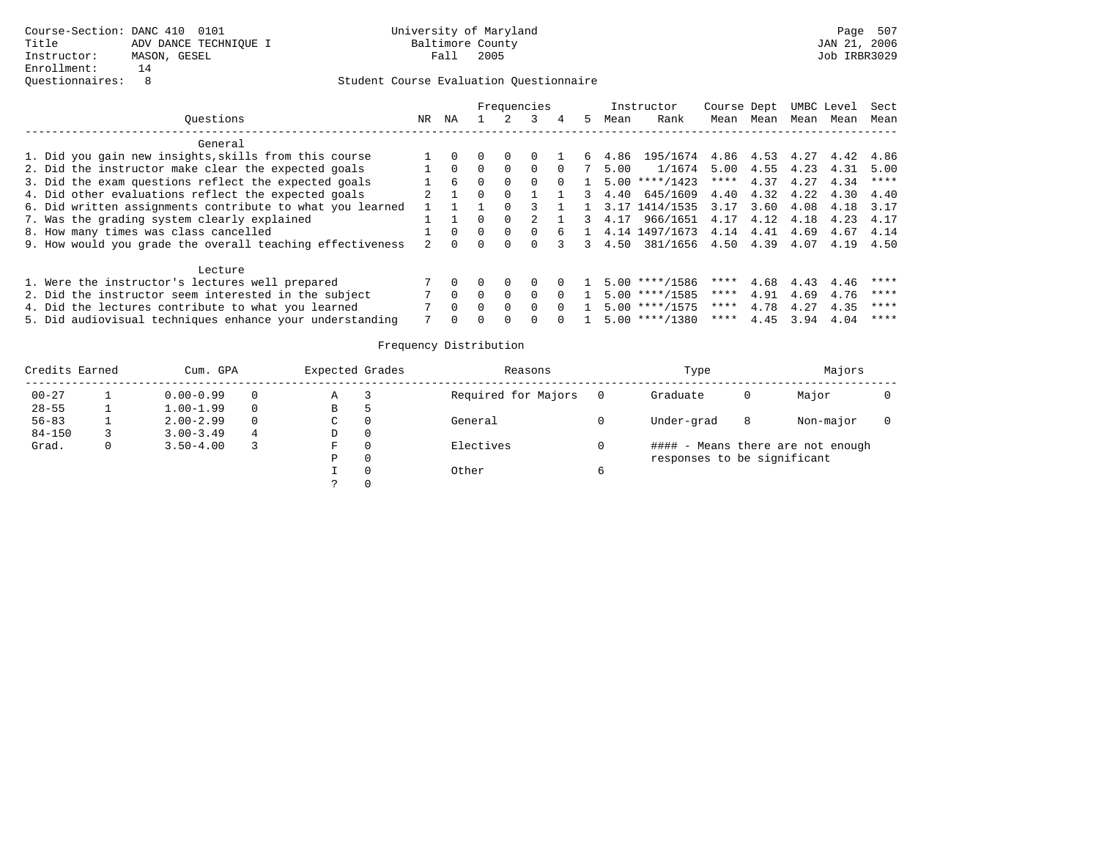|                                                           |     |          |          |          | Frequencies |    |         | Instructor               | Course Dept |      |      | UMBC Level | Sect |
|-----------------------------------------------------------|-----|----------|----------|----------|-------------|----|---------|--------------------------|-------------|------|------|------------|------|
| Ouestions                                                 | NR. | ΝA       |          |          |             | 5. | Mean    | Rank                     | Mean        | Mean | Mean | Mean       | Mean |
| General                                                   |     |          |          |          |             |    |         |                          |             |      |      |            |      |
| 1. Did you gain new insights, skills from this course     |     |          |          |          |             | 6. | 4.86    | 195/1674 4.86 4.53 4.27  |             |      |      | 4.42       | 4.86 |
| 2. Did the instructor make clear the expected goals       |     | $\Omega$ | $\Omega$ | $\Omega$ | $\Omega$    |    | 5.00    | $1/1674$ 5.00            |             | 4.55 | 4.23 | 4.31       | 5.00 |
| 3. Did the exam questions reflect the expected goals      |     | б.       |          |          |             |    | 5.00    | ****/1423                | ****        | 4.37 | 4.27 | 4.34       | **** |
| 4. Did other evaluations reflect the expected goals       |     |          |          | $\Omega$ |             |    | 4.40    | 645/1609                 | 4.40        | 4.32 | 4.22 | 4.30       | 4.40 |
| 6. Did written assignments contribute to what you learned |     |          |          |          |             |    |         | 1 3.17 1414/1535         | 3.17        | 3.60 | 4.08 | 4.18       | 3.17 |
| 7. Was the grading system clearly explained               |     |          |          |          |             |    | 3, 4.17 | 966/1651 4.17            |             | 4.12 | 4.18 | 4.23       | 4.17 |
| 8. How many times was class cancelled                     |     |          |          | $\Omega$ | $\Omega$    |    |         | 4.14 1497/1673 4.14 4.41 |             |      | 4.69 | 4.67       | 4.14 |
| 9. How would you grade the overall teaching effectiveness |     | $\cap$   |          |          |             |    | 3, 4.50 | 381/1656 4.50 4.39       |             |      | 4.07 | 4.19       | 4.50 |
| Lecture                                                   |     |          |          |          |             |    |         |                          |             |      |      |            |      |
| 1. Were the instructor's lectures well prepared           |     |          |          |          |             |    |         | $5.00$ ****/1586         | ****        | 4.68 | 4.43 | 4.46       | **** |
| 2. Did the instructor seem interested in the subject      |     | $\Omega$ |          | $\cap$   | $\cap$      |    |         | $5.00$ ****/1585         | ****        | 4.91 | 4.69 | 4.76       | **** |
| 4. Did the lectures contribute to what you learned        |     | $\cap$   |          | $\cap$   | $\cap$      |    |         | $5.00$ ****/1575         | ****        | 4.78 | 4.27 | 4.35       | **** |
| 5. Did audiovisual techniques enhance your understanding  |     |          |          |          |             |    |         | $5.00$ ****/1380         | ****        | 4.45 | 3.94 | 4.04       | **** |

| Credits Earned | Cum. GPA      |          | Expected Grades | Reasons             |   | Type                        |   | Majors                            |  |
|----------------|---------------|----------|-----------------|---------------------|---|-----------------------------|---|-----------------------------------|--|
| $00 - 27$      | $0.00 - 0.99$ | 0        | Α               | Required for Majors |   | Graduate                    |   | Major                             |  |
| $28 - 55$      | $1.00 - 1.99$ | $\Omega$ | В               |                     |   |                             |   |                                   |  |
| $56 - 83$      | $2.00 - 2.99$ | $\Omega$ | C.              | General             |   | Under-grad                  | 8 | Non-major                         |  |
| $84 - 150$     | $3.00 - 3.49$ | 4        | D               |                     |   |                             |   |                                   |  |
| Grad.          | $3.50 - 4.00$ |          | F               | Electives           |   |                             |   | #### - Means there are not enough |  |
|                |               |          | D               |                     |   | responses to be significant |   |                                   |  |
|                |               |          |                 | Other               | 6 |                             |   |                                   |  |
|                |               |          |                 |                     |   |                             |   |                                   |  |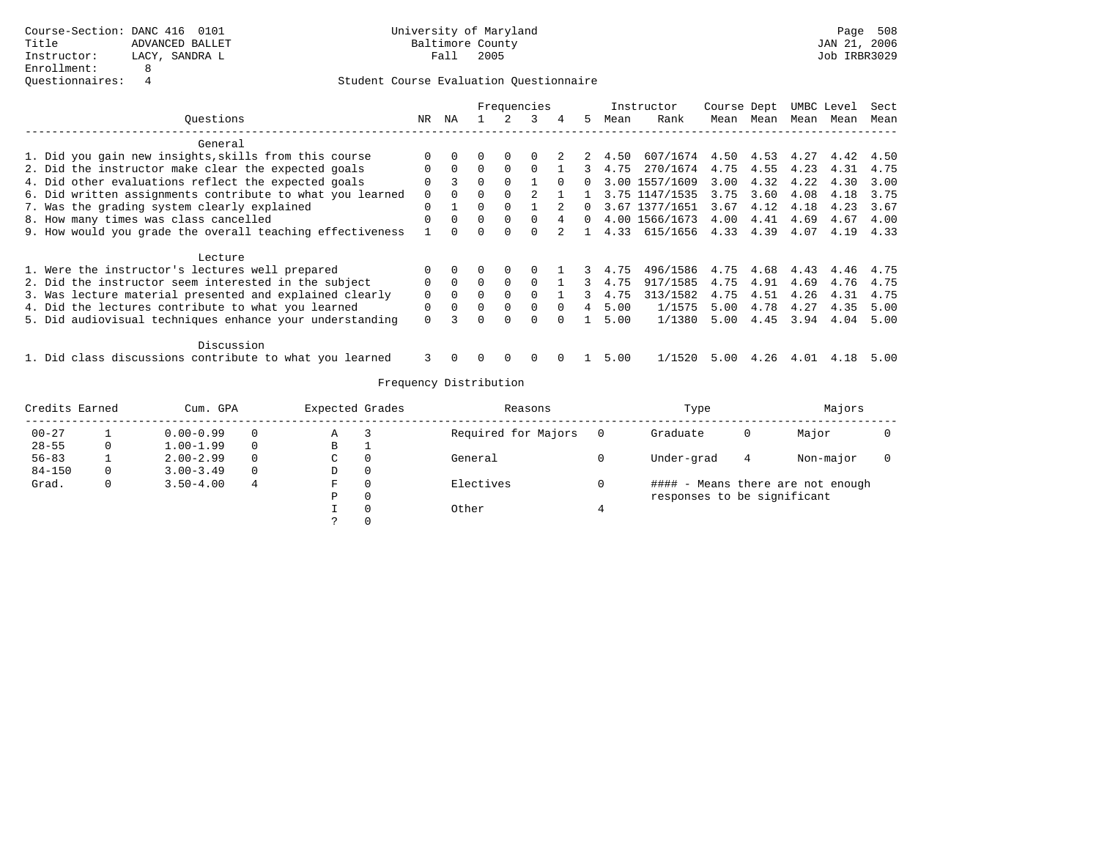|                                                           |          |          | Frequencies |          |              |          |          |      | Instructor     | Course Dept |      | UMBC Level |      | Sect |
|-----------------------------------------------------------|----------|----------|-------------|----------|--------------|----------|----------|------|----------------|-------------|------|------------|------|------|
| Ouestions<br>NR.                                          |          |          |             |          | 3            | 4        | 5.       | Mean | Rank           | Mean        | Mean | Mean       | Mean | Mean |
| General                                                   |          |          |             |          |              |          |          |      |                |             |      |            |      |      |
| 1. Did you gain new insights, skills from this course     |          |          |             |          |              |          | 2        | 4.50 | 607/1674       | 4.50        | 4.53 | 4.27       | 4.42 | 4.50 |
| 2. Did the instructor make clear the expected goals       | $\Omega$ | $\Omega$ | $\Omega$    | $\Omega$ |              |          |          | 4.75 | 270/1674       | 4.75        | 4.55 | 4.23       | 4.31 | 4.75 |
| 4. Did other evaluations reflect the expected goals       | 0        |          | 0           |          |              |          |          | 3.00 | 1557/1609      | 3.00        | 4.32 | 4.22       | 4.30 | 3.00 |
| 6. Did written assignments contribute to what you learned | $\Omega$ |          | 0           |          |              |          |          |      | 3.75 1147/1535 | 3.75        | 3.60 | 4.08       | 4.18 | 3.75 |
| 7. Was the grading system clearly explained               | $\Omega$ |          | 0           |          |              |          | $\Omega$ |      | 3.67 1377/1651 | 3.67        | 4.12 | 4.18       | 4.23 | 3.67 |
| 8. How many times was class cancelled                     |          | $\Omega$ | $\Omega$    | $\Omega$ | $\Omega$     | 4        | 0        |      | 4.00 1566/1673 | 4.00        | 4.41 | 4.69       | 4.67 | 4.00 |
| 9. How would you grade the overall teaching effectiveness |          |          |             |          |              |          |          | 4.33 | 615/1656       | 4.33        | 4.39 | 4.07       | 4.19 | 4.33 |
| Lecture                                                   |          |          |             |          |              |          |          |      |                |             |      |            |      |      |
| 1. Were the instructor's lectures well prepared           |          |          |             |          |              |          |          | 4.75 | 496/1586       | 4.75        | 4.68 | 4.43       | 4.46 | 4.75 |
| 2. Did the instructor seem interested in the subject      | $\Omega$ | $\Omega$ | $\Omega$    | $\Omega$ | $\Omega$     |          |          | 4.75 | 917/1585       | 4.75        | 4.91 | 4.69       | 4.76 | 4.75 |
| 3. Was lecture material presented and explained clearly   | $\Omega$ | $\Omega$ | $\Omega$    |          |              |          |          | 4.75 | 313/1582       | 4.75        | 4.51 | 4.26       | 4.31 | 4.75 |
| 4. Did the lectures contribute to what you learned        | $\Omega$ | $\Omega$ | $\Omega$    | $\Omega$ | $\Omega$     | $\Omega$ | 4        | 5.00 | 1/1575         | 5.00        | 4.78 | 4.27       | 4.35 | 5.00 |
| 5. Did audiovisual techniques enhance your understanding  | $\Omega$ |          | 0           | $\cap$   | <sup>n</sup> |          |          | 5.00 | 1/1380         | 5.00        | 4.45 | 3.94       | 4.04 | 5.00 |
| Discussion                                                |          |          |             |          |              |          |          |      |                |             |      |            |      |      |
| 1. Did class discussions contribute to what you learned   | 3        |          |             |          |              |          |          | 5.00 | 1/1520         | 5.00        | 4.26 | 4.01       | 4.18 | 5.00 |

| Credits Earned |              | Cum. GPA      |          |    | Expected Grades | Reasons             |   | Type                        | Majors |                                   |  |
|----------------|--------------|---------------|----------|----|-----------------|---------------------|---|-----------------------------|--------|-----------------------------------|--|
| $00 - 27$      |              | $0.00 - 0.99$ |          | Α  |                 | Required for Majors |   | Graduate                    | 0      | Major                             |  |
| $28 - 55$      | 0            | $1.00 - 1.99$ | $\Omega$ | В  |                 |                     |   |                             |        |                                   |  |
| $56 - 83$      |              | $2.00 - 2.99$ |          | C. | $\Omega$        | General             |   | Under-grad                  | 4      | Non-major                         |  |
| $84 - 150$     | 0            | $3.00 - 3.49$ | $\Omega$ | D  | 0               |                     |   |                             |        |                                   |  |
| Grad.          | $\mathbf{0}$ | $3.50 - 4.00$ | 4        | F  | $\Omega$        | Electives           |   |                             |        | #### - Means there are not enough |  |
|                |              |               |          | Ρ  | 0               |                     |   | responses to be significant |        |                                   |  |
|                |              |               |          |    | $\Omega$        | Other               | 4 |                             |        |                                   |  |
|                |              |               |          |    |                 |                     |   |                             |        |                                   |  |